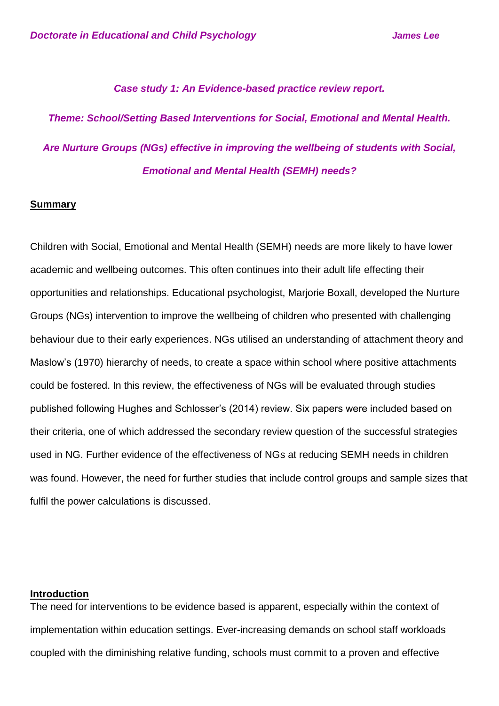### *Case study 1: An Evidence-based practice review report.*

# *Theme: School/Setting Based Interventions for Social, Emotional and Mental Health. Are Nurture Groups (NGs) effective in improving the wellbeing of students with Social, Emotional and Mental Health (SEMH) needs?*

### **Summary**

Children with Social, Emotional and Mental Health (SEMH) needs are more likely to have lower academic and wellbeing outcomes. This often continues into their adult life effecting their opportunities and relationships. Educational psychologist, Marjorie Boxall, developed the Nurture Groups (NGs) intervention to improve the wellbeing of children who presented with challenging behaviour due to their early experiences. NGs utilised an understanding of attachment theory and Maslow's (1970) hierarchy of needs, to create a space within school where positive attachments could be fostered. In this review, the effectiveness of NGs will be evaluated through studies published following Hughes and Schlosser's (2014) review. Six papers were included based on their criteria, one of which addressed the secondary review question of the successful strategies used in NG. Further evidence of the effectiveness of NGs at reducing SEMH needs in children was found. However, the need for further studies that include control groups and sample sizes that fulfil the power calculations is discussed.

# **Introduction**

The need for interventions to be evidence based is apparent, especially within the context of implementation within education settings. Ever-increasing demands on school staff workloads coupled with the diminishing relative funding, schools must commit to a proven and effective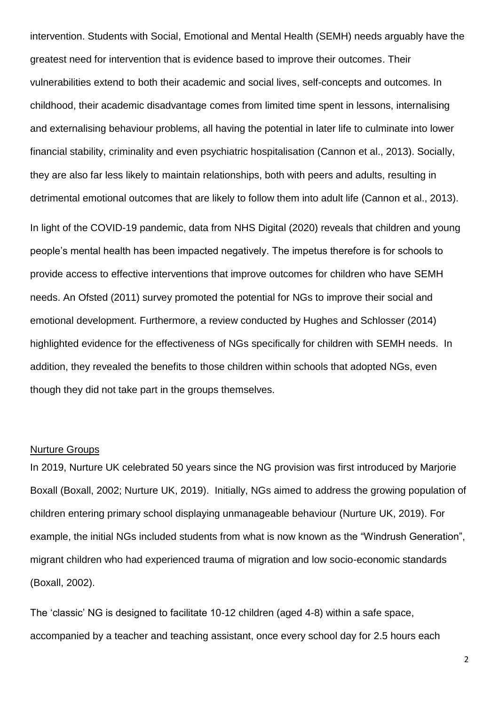intervention. Students with Social, Emotional and Mental Health (SEMH) needs arguably have the greatest need for intervention that is evidence based to improve their outcomes. Their vulnerabilities extend to both their academic and social lives, self-concepts and outcomes. In childhood, their academic disadvantage comes from limited time spent in lessons, internalising and externalising behaviour problems, all having the potential in later life to culminate into lower financial stability, criminality and even psychiatric hospitalisation (Cannon et al., 2013). Socially, they are also far less likely to maintain relationships, both with peers and adults, resulting in detrimental emotional outcomes that are likely to follow them into adult life (Cannon et al., 2013). In light of the COVID-19 pandemic, data from NHS Digital (2020) reveals that children and young people's mental health has been impacted negatively. The impetus therefore is for schools to provide access to effective interventions that improve outcomes for children who have SEMH needs. An Ofsted (2011) survey promoted the potential for NGs to improve their social and emotional development. Furthermore, a review conducted by Hughes and Schlosser (2014) highlighted evidence for the effectiveness of NGs specifically for children with SEMH needs. In addition, they revealed the benefits to those children within schools that adopted NGs, even though they did not take part in the groups themselves.

### Nurture Groups

In 2019, Nurture UK celebrated 50 years since the NG provision was first introduced by Marjorie Boxall (Boxall, 2002; Nurture UK, 2019). Initially, NGs aimed to address the growing population of children entering primary school displaying unmanageable behaviour (Nurture UK, 2019). For example, the initial NGs included students from what is now known as the "Windrush Generation", migrant children who had experienced trauma of migration and low socio-economic standards (Boxall, 2002).

The 'classic' NG is designed to facilitate 10-12 children (aged 4-8) within a safe space, accompanied by a teacher and teaching assistant, once every school day for 2.5 hours each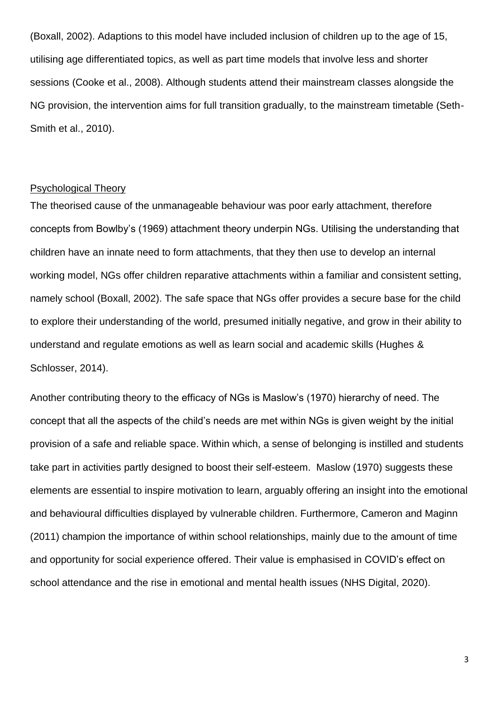(Boxall, 2002). Adaptions to this model have included inclusion of children up to the age of 15, utilising age differentiated topics, as well as part time models that involve less and shorter sessions (Cooke et al., 2008). Although students attend their mainstream classes alongside the NG provision, the intervention aims for full transition gradually, to the mainstream timetable (Seth-Smith et al., 2010).

## Psychological Theory

The theorised cause of the unmanageable behaviour was poor early attachment, therefore concepts from Bowlby's (1969) attachment theory underpin NGs. Utilising the understanding that children have an innate need to form attachments, that they then use to develop an internal working model, NGs offer children reparative attachments within a familiar and consistent setting, namely school (Boxall, 2002). The safe space that NGs offer provides a secure base for the child to explore their understanding of the world, presumed initially negative, and grow in their ability to understand and regulate emotions as well as learn social and academic skills (Hughes & Schlosser, 2014).

Another contributing theory to the efficacy of NGs is Maslow's (1970) hierarchy of need. The concept that all the aspects of the child's needs are met within NGs is given weight by the initial provision of a safe and reliable space. Within which, a sense of belonging is instilled and students take part in activities partly designed to boost their self-esteem. Maslow (1970) suggests these elements are essential to inspire motivation to learn, arguably offering an insight into the emotional and behavioural difficulties displayed by vulnerable children. Furthermore, Cameron and Maginn (2011) champion the importance of within school relationships, mainly due to the amount of time and opportunity for social experience offered. Their value is emphasised in COVID's effect on school attendance and the rise in emotional and mental health issues (NHS Digital, 2020).

3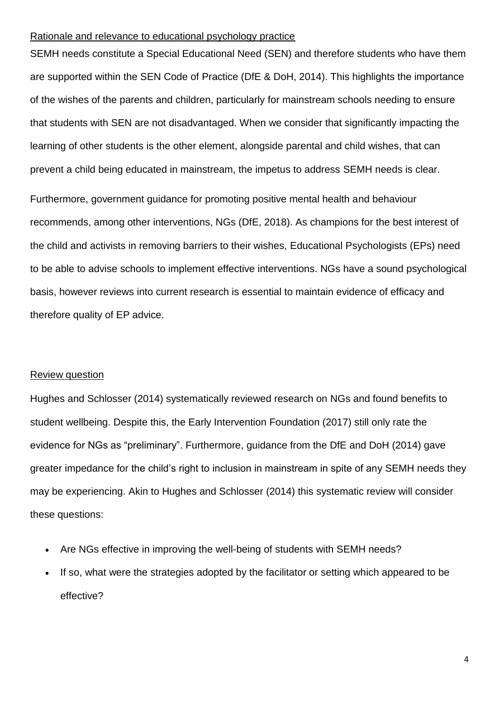### Rationale and relevance to educational psychology practice

SEMH needs constitute a Special Educational Need (SEN) and therefore students who have them are supported within the SEN Code of Practice (DfE & DoH, 2014). This highlights the importance of the wishes of the parents and children, particularly for mainstream schools needing to ensure that students with SEN are not disadvantaged. When we consider that significantly impacting the learning of other students is the other element, alongside parental and child wishes, that can prevent a child being educated in mainstream, the impetus to address SEMH needs is clear.

Furthermore, government guidance for promoting positive mental health and behaviour recommends, among other interventions, NGs (DfE, 2018). As champions for the best interest of the child and activists in removing barriers to their wishes, Educational Psychologists (EPs) need to be able to advise schools to implement effective interventions. NGs have a sound psychological basis, however reviews into current research is essential to maintain evidence of efficacy and therefore quality of EP advice.

# Review question

Hughes and Schlosser (2014) systematically reviewed research on NGs and found benefits to student wellbeing. Despite this, the Early Intervention Foundation (2017) still only rate the evidence for NGs as "preliminary". Furthermore, guidance from the DfE and DoH (2014) gave greater impedance for the child's right to inclusion in mainstream in spite of any SEMH needs they may be experiencing. Akin to Hughes and Schlosser (2014) this systematic review will consider these questions:

- Are NGs effective in improving the well-being of students with SEMH needs?
- If so, what were the strategies adopted by the facilitator or setting which appeared to be effective?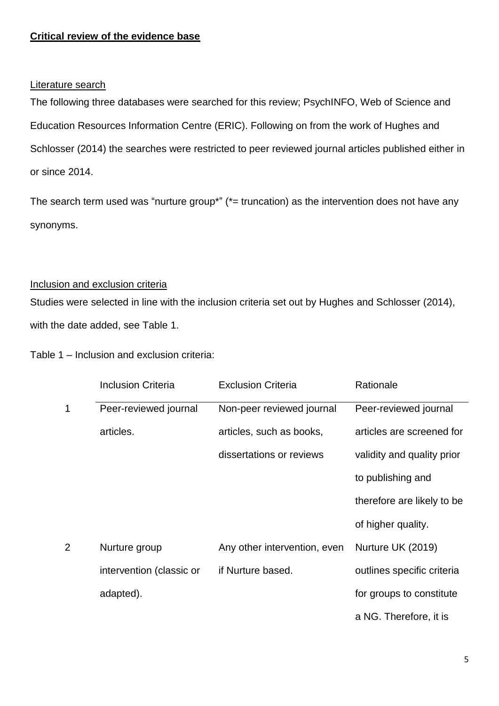# **Critical review of the evidence base**

# Literature search

The following three databases were searched for this review; PsychINFO, Web of Science and Education Resources Information Centre (ERIC). Following on from the work of Hughes and Schlosser (2014) the searches were restricted to peer reviewed journal articles published either in or since 2014.

The search term used was "nurture group\*" ( $*$  = truncation) as the intervention does not have any synonyms.

# Inclusion and exclusion criteria

Studies were selected in line with the inclusion criteria set out by Hughes and Schlosser (2014), with the date added, see Table 1.

Table 1 – Inclusion and exclusion criteria:

|             | <b>Inclusion Criteria</b> | <b>Exclusion Criteria</b>    | Rationale                  |
|-------------|---------------------------|------------------------------|----------------------------|
| $\mathbf 1$ | Peer-reviewed journal     | Non-peer reviewed journal    | Peer-reviewed journal      |
|             | articles.                 | articles, such as books,     | articles are screened for  |
|             |                           | dissertations or reviews     | validity and quality prior |
|             |                           |                              | to publishing and          |
|             |                           |                              | therefore are likely to be |
|             |                           |                              | of higher quality.         |
| 2           | Nurture group             | Any other intervention, even | Nurture UK (2019)          |
|             | intervention (classic or  | if Nurture based.            | outlines specific criteria |
|             | adapted).                 |                              | for groups to constitute   |
|             |                           |                              | a NG. Therefore, it is     |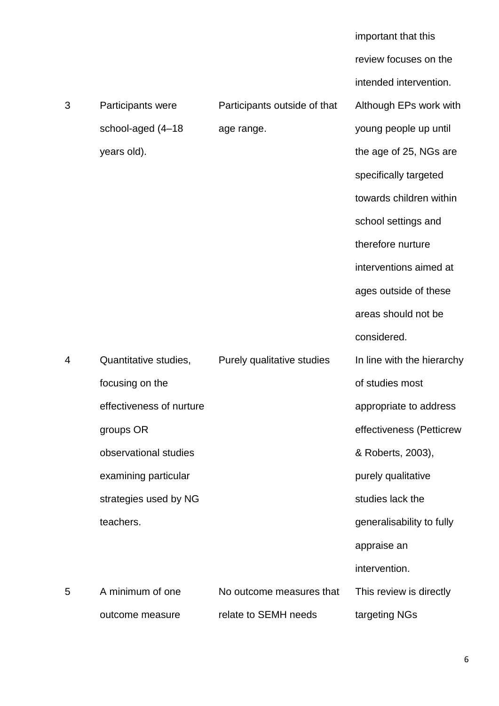|   |                          |                              | important that this        |
|---|--------------------------|------------------------------|----------------------------|
|   |                          |                              | review focuses on the      |
|   |                          |                              | intended intervention.     |
| 3 | Participants were        | Participants outside of that | Although EPs work with     |
|   | school-aged (4-18        | age range.                   | young people up until      |
|   | years old).              |                              | the age of 25, NGs are     |
|   |                          |                              | specifically targeted      |
|   |                          |                              | towards children within    |
|   |                          |                              | school settings and        |
|   |                          |                              | therefore nurture          |
|   |                          |                              | interventions aimed at     |
|   |                          |                              | ages outside of these      |
|   |                          |                              | areas should not be        |
|   |                          |                              | considered.                |
| 4 | Quantitative studies,    | Purely qualitative studies   | In line with the hierarchy |
|   | focusing on the          |                              | of studies most            |
|   | effectiveness of nurture |                              | appropriate to address     |
|   | groups OR                |                              | effectiveness (Petticrew   |
|   | observational studies    |                              | & Roberts, 2003),          |
|   | examining particular     |                              | purely qualitative         |
|   | strategies used by NG    |                              | studies lack the           |
|   | teachers.                |                              | generalisability to fully  |
|   |                          |                              | appraise an                |
|   |                          |                              | intervention.              |
|   |                          |                              |                            |
| 5 | A minimum of one         | No outcome measures that     | This review is directly    |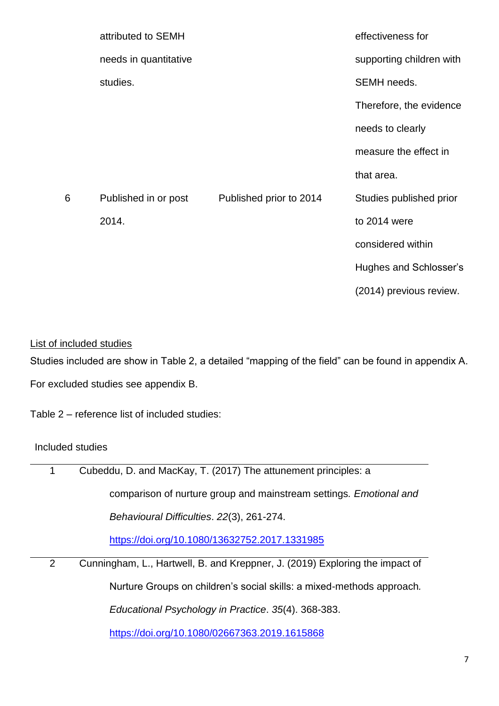|   | attributed to SEMH    |                         | effectiveness for        |
|---|-----------------------|-------------------------|--------------------------|
|   | needs in quantitative |                         | supporting children with |
|   | studies.              |                         | SEMH needs.              |
|   |                       |                         | Therefore, the evidence  |
|   |                       |                         | needs to clearly         |
|   |                       |                         | measure the effect in    |
|   |                       |                         | that area.               |
| 6 | Published in or post  | Published prior to 2014 | Studies published prior  |
|   | 2014.                 |                         | to 2014 were             |
|   |                       |                         | considered within        |
|   |                       |                         | Hughes and Schlosser's   |
|   |                       |                         | (2014) previous review.  |

# List of included studies

Studies included are show in Table 2, a detailed "mapping of the field" can be found in appendix A.

For excluded studies see appendix B.

Table 2 – reference list of included studies:

# Included studies

 $\overline{\phantom{a}}$ 

| Cubeddu, D. and MacKay, T. (2017) The attunement principles: a<br>1<br>comparison of nurture group and mainstream settings. Emotional and |
|-------------------------------------------------------------------------------------------------------------------------------------------|
|                                                                                                                                           |
|                                                                                                                                           |
| Behavioural Difficulties. 22(3), 261-274.                                                                                                 |
| https://doi.org/10.1080/13632752.2017.1331985                                                                                             |
| Cunningham, L., Hartwell, B. and Kreppner, J. (2019) Exploring the impact of<br>2                                                         |
| Nurture Groups on children's social skills: a mixed-methods approach.                                                                     |
| Educational Psychology in Practice. 35(4). 368-383.                                                                                       |

<https://doi.org/10.1080/02667363.2019.1615868>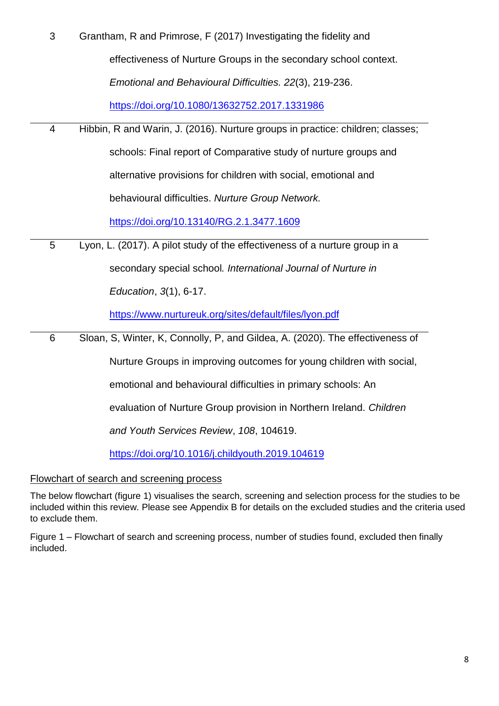| 3 | Grantham, R and Primrose, F (2017) Investigating the fidelity and              |
|---|--------------------------------------------------------------------------------|
|   | effectiveness of Nurture Groups in the secondary school context.               |
|   | Emotional and Behavioural Difficulties. 22(3), 219-236.                        |
|   | https://doi.org/10.1080/13632752.2017.1331986                                  |
| 4 | Hibbin, R and Warin, J. (2016). Nurture groups in practice: children; classes; |
|   | schools: Final report of Comparative study of nurture groups and               |
|   | alternative provisions for children with social, emotional and                 |
|   | behavioural difficulties. Nurture Group Network.                               |
|   | https://doi.org/10.13140/RG.2.1.3477.1609                                      |
| 5 | Lyon, L. (2017). A pilot study of the effectiveness of a nurture group in a    |
|   | secondary special school. International Journal of Nurture in                  |
|   | Education, 3(1), 6-17.                                                         |
|   | https://www.nurtureuk.org/sites/default/files/lyon.pdf                         |
| 6 | Sloan, S, Winter, K, Connolly, P, and Gildea, A. (2020). The effectiveness of  |
|   | Nurture Groups in improving outcomes for young children with social,           |

emotional and behavioural difficulties in primary schools: An

evaluation of Nurture Group provision in Northern Ireland. *Children* 

*and Youth Services Review*, *108*, 104619.

<https://doi.org/10.1016/j.childyouth.2019.104619>

# Flowchart of search and screening process

The below flowchart (figure 1) visualises the search, screening and selection process for the studies to be included within this review. Please see Appendix B for details on the excluded studies and the criteria used to exclude them.

Figure 1 – Flowchart of search and screening process, number of studies found, excluded then finally included.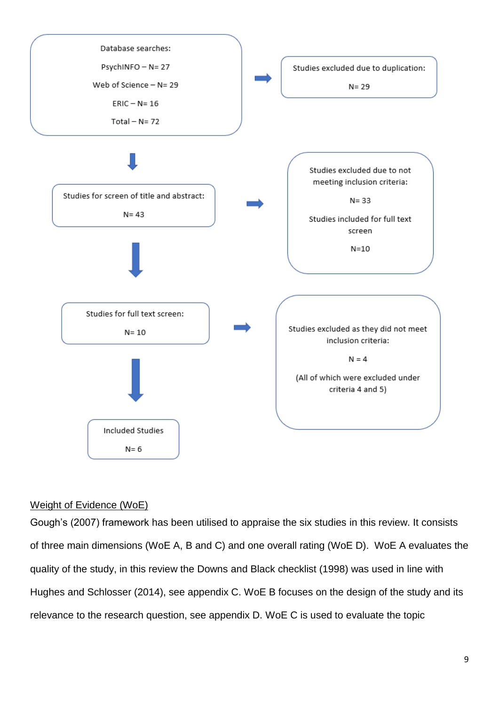

# Weight of Evidence (WoE)

Gough's (2007) framework has been utilised to appraise the six studies in this review. It consists of three main dimensions (WoE A, B and C) and one overall rating (WoE D). WoE A evaluates the quality of the study, in this review the Downs and Black checklist (1998) was used in line with Hughes and Schlosser (2014), see appendix C. WoE B focuses on the design of the study and its relevance to the research question, see appendix D. WoE C is used to evaluate the topic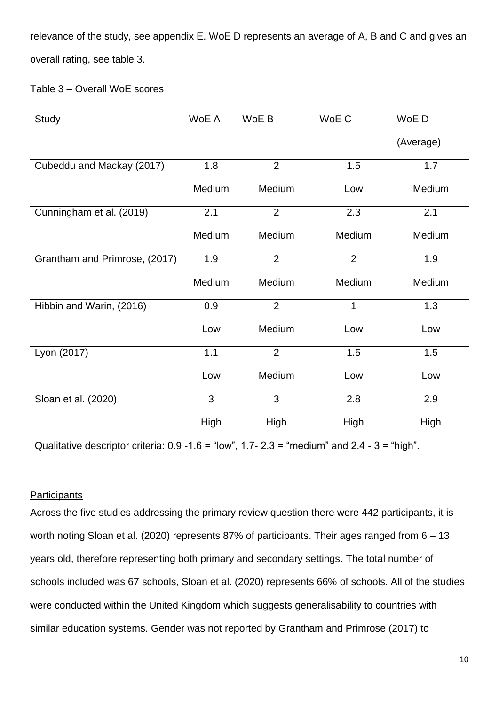relevance of the study, see appendix E. WoE D represents an average of A, B and C and gives an overall rating, see table 3.

Table 3 – Overall WoE scores

| <b>Study</b>                  | WoE A  | WoE B          | WoE C          | WoE D     |
|-------------------------------|--------|----------------|----------------|-----------|
|                               |        |                |                | (Average) |
| Cubeddu and Mackay (2017)     | 1.8    | $\overline{2}$ | 1.5            | 1.7       |
|                               | Medium | Medium         | Low            | Medium    |
| Cunningham et al. (2019)      | 2.1    | $\overline{2}$ | 2.3            | 2.1       |
|                               | Medium | Medium         | Medium         | Medium    |
| Grantham and Primrose, (2017) | 1.9    | $\overline{2}$ | $\overline{2}$ | 1.9       |
|                               | Medium | Medium         | Medium         | Medium    |
| Hibbin and Warin, (2016)      | 0.9    | $\overline{2}$ | $\mathbf{1}$   | 1.3       |
|                               | Low    | Medium         | Low            | Low       |
| Lyon (2017)                   | 1.1    | $\overline{2}$ | 1.5            | 1.5       |
|                               | Low    | Medium         | Low            | Low       |
| Sloan et al. (2020)           | 3      | 3              | 2.8            | 2.9       |
|                               | High   | High           | High           | High      |

Qualitative descriptor criteria:  $0.9 - 1.6 =$  "low",  $1.7 - 2.3 =$  "medium" and  $2.4 - 3 =$  "high".

# **Participants**

Across the five studies addressing the primary review question there were 442 participants, it is worth noting Sloan et al. (2020) represents 87% of participants. Their ages ranged from 6 – 13 years old, therefore representing both primary and secondary settings. The total number of schools included was 67 schools, Sloan et al. (2020) represents 66% of schools. All of the studies were conducted within the United Kingdom which suggests generalisability to countries with similar education systems. Gender was not reported by Grantham and Primrose (2017) to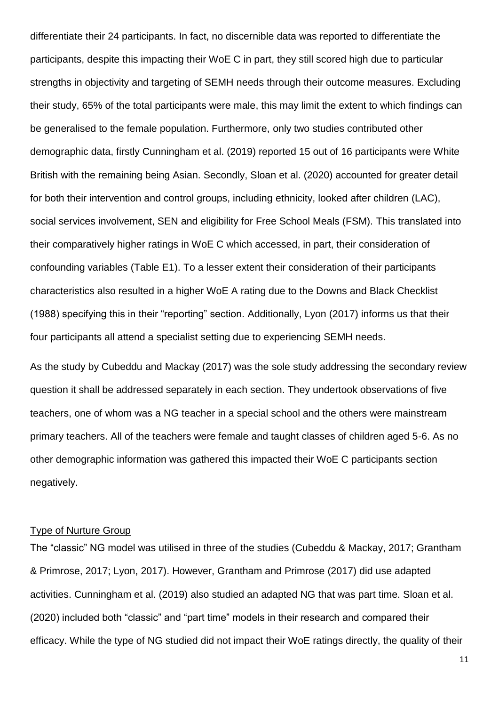differentiate their 24 participants. In fact, no discernible data was reported to differentiate the participants, despite this impacting their WoE C in part, they still scored high due to particular strengths in objectivity and targeting of SEMH needs through their outcome measures. Excluding their study, 65% of the total participants were male, this may limit the extent to which findings can be generalised to the female population. Furthermore, only two studies contributed other demographic data, firstly Cunningham et al. (2019) reported 15 out of 16 participants were White British with the remaining being Asian. Secondly, Sloan et al. (2020) accounted for greater detail for both their intervention and control groups, including ethnicity, looked after children (LAC), social services involvement, SEN and eligibility for Free School Meals (FSM). This translated into their comparatively higher ratings in WoE C which accessed, in part, their consideration of confounding variables (Table E1). To a lesser extent their consideration of their participants characteristics also resulted in a higher WoE A rating due to the Downs and Black Checklist (1988) specifying this in their "reporting" section. Additionally, Lyon (2017) informs us that their four participants all attend a specialist setting due to experiencing SEMH needs.

As the study by Cubeddu and Mackay (2017) was the sole study addressing the secondary review question it shall be addressed separately in each section. They undertook observations of five teachers, one of whom was a NG teacher in a special school and the others were mainstream primary teachers. All of the teachers were female and taught classes of children aged 5-6. As no other demographic information was gathered this impacted their WoE C participants section negatively.

## Type of Nurture Group

The "classic" NG model was utilised in three of the studies (Cubeddu & Mackay, 2017; Grantham & Primrose, 2017; Lyon, 2017). However, Grantham and Primrose (2017) did use adapted activities. Cunningham et al. (2019) also studied an adapted NG that was part time. Sloan et al. (2020) included both "classic" and "part time" models in their research and compared their efficacy. While the type of NG studied did not impact their WoE ratings directly, the quality of their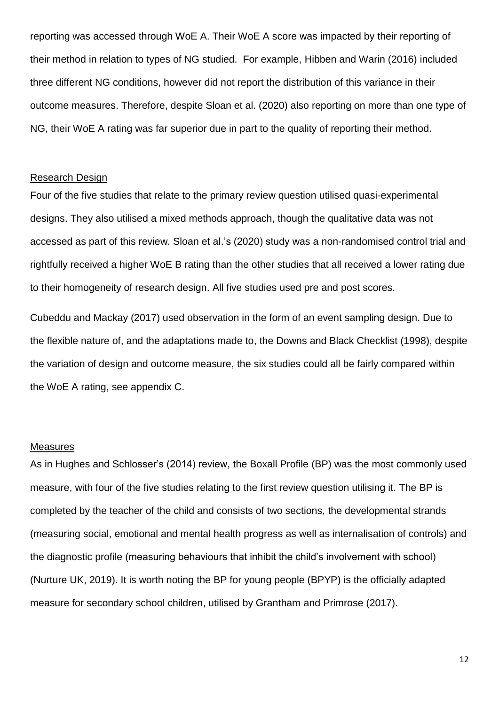reporting was accessed through WoE A. Their WoE A score was impacted by their reporting of their method in relation to types of NG studied. For example, Hibben and Warin (2016) included three different NG conditions, however did not report the distribution of this variance in their outcome measures. Therefore, despite Sloan et al. (2020) also reporting on more than one type of NG, their WoE A rating was far superior due in part to the quality of reporting their method.

### Research Design

Four of the five studies that relate to the primary review question utilised quasi-experimental designs. They also utilised a mixed methods approach, though the qualitative data was not accessed as part of this review. Sloan et al.'s (2020) study was a non-randomised control trial and rightfully received a higher WoE B rating than the other studies that all received a lower rating due to their homogeneity of research design. All five studies used pre and post scores.

Cubeddu and Mackay (2017) used observation in the form of an event sampling design. Due to the flexible nature of, and the adaptations made to, the Downs and Black Checklist (1998), despite the variation of design and outcome measure, the six studies could all be fairly compared within the WoE A rating, see appendix C.

### Measures

As in Hughes and Schlosser's (2014) review, the Boxall Profile (BP) was the most commonly used measure, with four of the five studies relating to the first review question utilising it. The BP is completed by the teacher of the child and consists of two sections, the developmental strands (measuring social, emotional and mental health progress as well as internalisation of controls) and the diagnostic profile (measuring behaviours that inhibit the child's involvement with school) (Nurture UK, 2019). It is worth noting the BP for young people (BPYP) is the officially adapted measure for secondary school children, utilised by Grantham and Primrose (2017).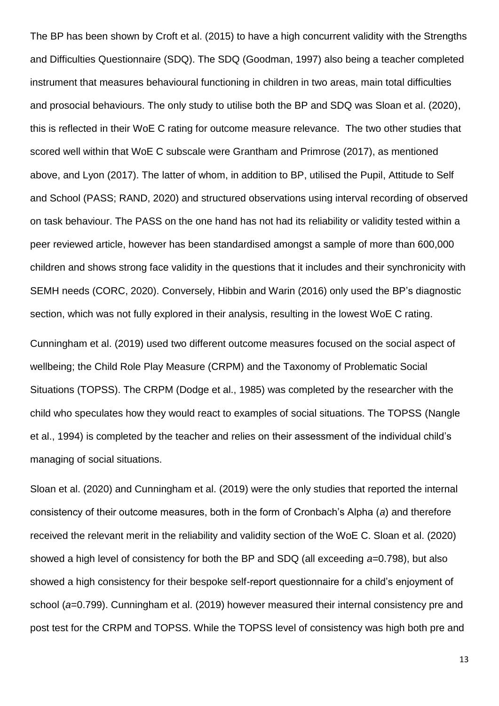The BP has been shown by Croft et al. (2015) to have a high concurrent validity with the Strengths and Difficulties Questionnaire (SDQ). The SDQ (Goodman, 1997) also being a teacher completed instrument that measures behavioural functioning in children in two areas, main total difficulties and prosocial behaviours. The only study to utilise both the BP and SDQ was Sloan et al. (2020), this is reflected in their WoE C rating for outcome measure relevance. The two other studies that scored well within that WoE C subscale were Grantham and Primrose (2017), as mentioned above, and Lyon (2017). The latter of whom, in addition to BP, utilised the Pupil, Attitude to Self and School (PASS; RAND, 2020) and structured observations using interval recording of observed on task behaviour. The PASS on the one hand has not had its reliability or validity tested within a peer reviewed article, however has been standardised amongst a sample of more than 600,000 children and shows strong face validity in the questions that it includes and their synchronicity with SEMH needs (CORC, 2020). Conversely, Hibbin and Warin (2016) only used the BP's diagnostic section, which was not fully explored in their analysis, resulting in the lowest WoE C rating.

Cunningham et al. (2019) used two different outcome measures focused on the social aspect of wellbeing; the Child Role Play Measure (CRPM) and the Taxonomy of Problematic Social Situations (TOPSS). The CRPM (Dodge et al., 1985) was completed by the researcher with the child who speculates how they would react to examples of social situations. The TOPSS (Nangle et al., 1994) is completed by the teacher and relies on their assessment of the individual child's managing of social situations.

Sloan et al. (2020) and Cunningham et al. (2019) were the only studies that reported the internal consistency of their outcome measures, both in the form of Cronbach's Alpha (*a*) and therefore received the relevant merit in the reliability and validity section of the WoE C. Sloan et al. (2020) showed a high level of consistency for both the BP and SDQ (all exceeding *a*=0.798), but also showed a high consistency for their bespoke self-report questionnaire for a child's enjoyment of school (*a*=0.799). Cunningham et al. (2019) however measured their internal consistency pre and post test for the CRPM and TOPSS. While the TOPSS level of consistency was high both pre and

13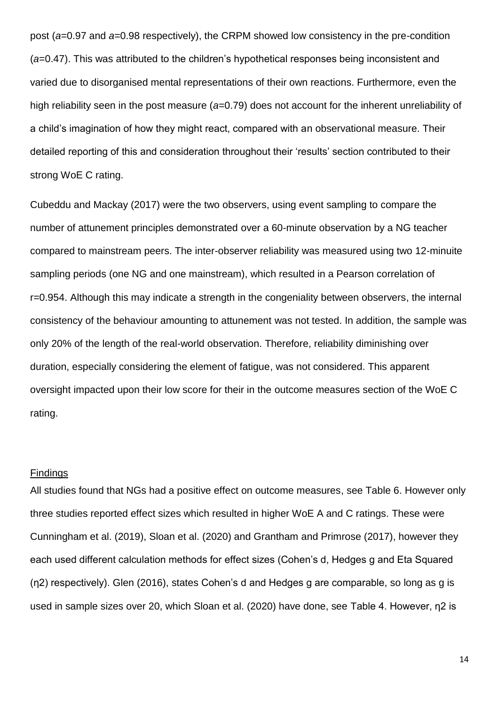post (*a*=0.97 and *a*=0.98 respectively), the CRPM showed low consistency in the pre-condition (*a*=0.47). This was attributed to the children's hypothetical responses being inconsistent and varied due to disorganised mental representations of their own reactions. Furthermore, even the high reliability seen in the post measure (*a*=0.79) does not account for the inherent unreliability of a child's imagination of how they might react, compared with an observational measure. Their detailed reporting of this and consideration throughout their 'results' section contributed to their strong WoE C rating.

Cubeddu and Mackay (2017) were the two observers, using event sampling to compare the number of attunement principles demonstrated over a 60-minute observation by a NG teacher compared to mainstream peers. The inter-observer reliability was measured using two 12-minuite sampling periods (one NG and one mainstream), which resulted in a Pearson correlation of r=0.954. Although this may indicate a strength in the congeniality between observers, the internal consistency of the behaviour amounting to attunement was not tested. In addition, the sample was only 20% of the length of the real-world observation. Therefore, reliability diminishing over duration, especially considering the element of fatigue, was not considered. This apparent oversight impacted upon their low score for their in the outcome measures section of the WoE C rating.

### Findings

All studies found that NGs had a positive effect on outcome measures, see Table 6. However only three studies reported effect sizes which resulted in higher WoE A and C ratings. These were Cunningham et al. (2019), Sloan et al. (2020) and Grantham and Primrose (2017), however they each used different calculation methods for effect sizes (Cohen's d, Hedges g and Eta Squared (η2) respectively). Glen (2016), states Cohen's d and Hedges g are comparable, so long as g is used in sample sizes over 20, which Sloan et al. (2020) have done, see Table 4. However, η2 is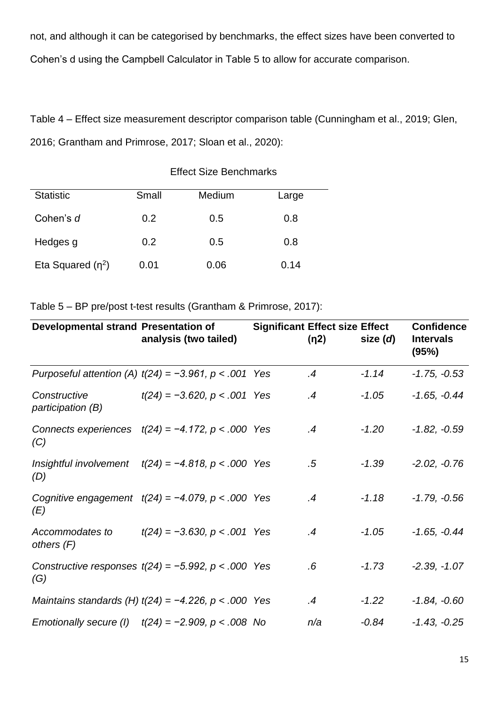not, and although it can be categorised by benchmarks, the effect sizes have been converted to Cohen's d using the Campbell Calculator in Table 5 to allow for accurate comparison.

Table 4 – Effect size measurement descriptor comparison table (Cunningham et al., 2019; Glen, 2016; Grantham and Primrose, 2017; Sloan et al., 2020):

Effect Size Benchmarks

| <b>Statistic</b>    | Small | Medium | Large |
|---------------------|-------|--------|-------|
|                     |       |        |       |
| Cohen's d           | 0.2   | 0.5    | 0.8   |
|                     |       |        |       |
| Hedges g            | 0.2   | 0.5    | 0.8   |
|                     |       |        |       |
| Eta Squared $(n^2)$ | 0.01  | 0.06   | 0.14  |
|                     |       |        |       |

Table 5 – BP pre/post t-test results (Grantham & Primrose, 2017):

| Developmental strand Presentation of | analysis (two tailed)                                      | <b>Significant Effect size Effect</b><br>(n2) | size $(d)$ | <b>Confidence</b><br><b>Intervals</b><br>(95%) |
|--------------------------------------|------------------------------------------------------------|-----------------------------------------------|------------|------------------------------------------------|
|                                      | Purposeful attention (A) $t(24) = -3.961$ , $p < .001$ Yes | $\overline{.4}$                               | $-1.14$    | $-1.75, -0.53$                                 |
| Constructive<br>participation (B)    | $t(24) = -3.620$ , $p < .001$ Yes                          | $\mathcal{A}$                                 | $-1.05$    | $-1.65, -0.44$                                 |
| (C)                                  | Connects experiences $t(24) = -4.172$ , $p < .000$ Yes     | .4                                            | $-1.20$    | $-1.82, -0.59$                                 |
| (D)                                  | Insightful involvement $t(24) = -4.818$ , $p < .000$ Yes   | $.5\,$                                        | $-1.39$    | $-2.02, -0.76$                                 |
| (E)                                  | Cognitive engagement $t(24) = -4.079$ , $p < .000$ Yes     | $\mathcal{A}$                                 | $-1.18$    | $-1.79, -0.56$                                 |
| Accommodates to<br>others $(F)$      | $t(24) = -3.630$ , $p < .001$ Yes                          | $\mathcal{A}$                                 | $-1.05$    | $-1.65, -0.44$                                 |
| (G)                                  | Constructive responses $t(24) = -5.992$ , $p < .000$ Yes   | .6                                            | $-1.73$    | $-2.39, -1.07$                                 |
|                                      | Maintains standards (H) $t(24) = -4.226$ , $p < .000$ Yes  | $\mathcal{A}$                                 | $-1.22$    | $-1.84, -0.60$                                 |
|                                      | Emotionally secure (1) $t(24) = -2.909$ , $p < .008$ No    | n/a                                           | $-0.84$    | $-1.43, -0.25$                                 |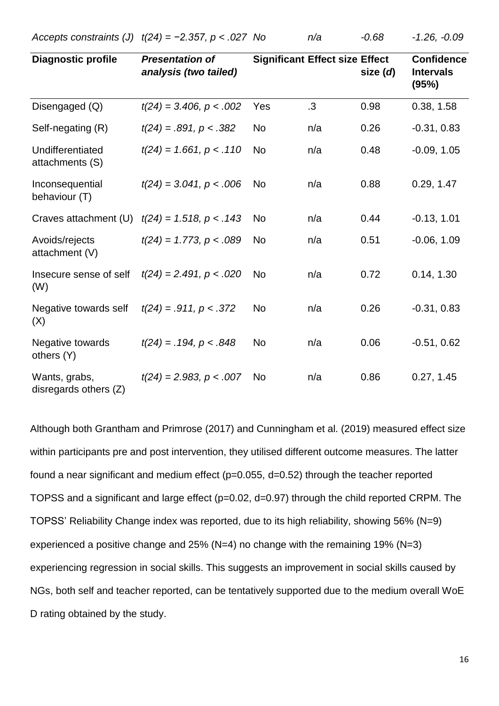*Accepts constraints (J) t(24) = −2.357, p < .027 No n/a -0.68 -1.26, -0.09*

| <b>Diagnostic profile</b>                | <b>Presentation of</b><br>analysis (two tailed) |           | <b>Significant Effect size Effect</b> | size (d) | <b>Confidence</b><br><b>Intervals</b><br>(95%) |
|------------------------------------------|-------------------------------------------------|-----------|---------------------------------------|----------|------------------------------------------------|
| Disengaged (Q)                           | $t(24) = 3.406, p < .002$                       | Yes       | $\cdot$ 3                             | 0.98     | 0.38, 1.58                                     |
| Self-negating (R)                        | $t(24) = .891, p < .382$                        | <b>No</b> | n/a                                   | 0.26     | $-0.31, 0.83$                                  |
| Undifferentiated<br>attachments (S)      | $t(24) = 1.661, p < .110$                       | <b>No</b> | n/a                                   | 0.48     | $-0.09, 1.05$                                  |
| Inconsequential<br>behaviour (T)         | $t(24) = 3.041, p < .006$                       | <b>No</b> | n/a                                   | 0.88     | 0.29, 1.47                                     |
| Craves attachment (U)                    | $t(24) = 1.518, p < .143$                       | <b>No</b> | n/a                                   | 0.44     | $-0.13, 1.01$                                  |
| Avoids/rejects<br>attachment (V)         | $t(24) = 1.773$ , $p < .089$                    | <b>No</b> | n/a                                   | 0.51     | $-0.06, 1.09$                                  |
| Insecure sense of self<br>(W)            | $t(24) = 2.491, p < .020$                       | <b>No</b> | n/a                                   | 0.72     | 0.14, 1.30                                     |
| Negative towards self<br>(X)             | $t(24) = .911, p < .372$                        | <b>No</b> | n/a                                   | 0.26     | $-0.31, 0.83$                                  |
| Negative towards<br>others (Y)           | $t(24) = .194, p < .848$                        | <b>No</b> | n/a                                   | 0.06     | $-0.51, 0.62$                                  |
| Wants, grabs,<br>disregards others $(Z)$ | $t(24) = 2.983, p < .007$                       | <b>No</b> | n/a                                   | 0.86     | 0.27, 1.45                                     |

Although both Grantham and Primrose (2017) and Cunningham et al. (2019) measured effect size within participants pre and post intervention, they utilised different outcome measures. The latter found a near significant and medium effect (p=0.055, d=0.52) through the teacher reported TOPSS and a significant and large effect (p=0.02, d=0.97) through the child reported CRPM. The TOPSS' Reliability Change index was reported, due to its high reliability, showing 56% (N=9) experienced a positive change and 25% (N=4) no change with the remaining 19% (N=3) experiencing regression in social skills. This suggests an improvement in social skills caused by NGs, both self and teacher reported, can be tentatively supported due to the medium overall WoE D rating obtained by the study.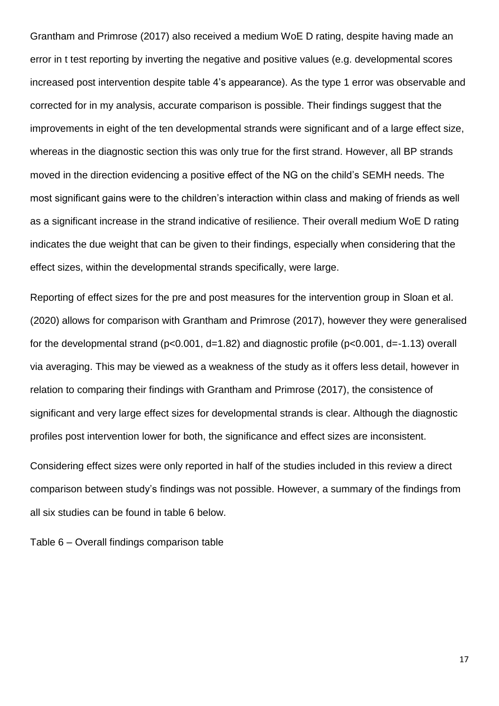Grantham and Primrose (2017) also received a medium WoE D rating, despite having made an error in t test reporting by inverting the negative and positive values (e.g. developmental scores increased post intervention despite table 4's appearance). As the type 1 error was observable and corrected for in my analysis, accurate comparison is possible. Their findings suggest that the improvements in eight of the ten developmental strands were significant and of a large effect size, whereas in the diagnostic section this was only true for the first strand. However, all BP strands moved in the direction evidencing a positive effect of the NG on the child's SEMH needs. The most significant gains were to the children's interaction within class and making of friends as well as a significant increase in the strand indicative of resilience. Their overall medium WoE D rating indicates the due weight that can be given to their findings, especially when considering that the effect sizes, within the developmental strands specifically, were large.

Reporting of effect sizes for the pre and post measures for the intervention group in Sloan et al. (2020) allows for comparison with Grantham and Primrose (2017), however they were generalised for the developmental strand (p<0.001, d=1.82) and diagnostic profile (p<0.001, d=-1.13) overall via averaging. This may be viewed as a weakness of the study as it offers less detail, however in relation to comparing their findings with Grantham and Primrose (2017), the consistence of significant and very large effect sizes for developmental strands is clear. Although the diagnostic profiles post intervention lower for both, the significance and effect sizes are inconsistent.

Considering effect sizes were only reported in half of the studies included in this review a direct comparison between study's findings was not possible. However, a summary of the findings from all six studies can be found in table 6 below.

Table 6 – Overall findings comparison table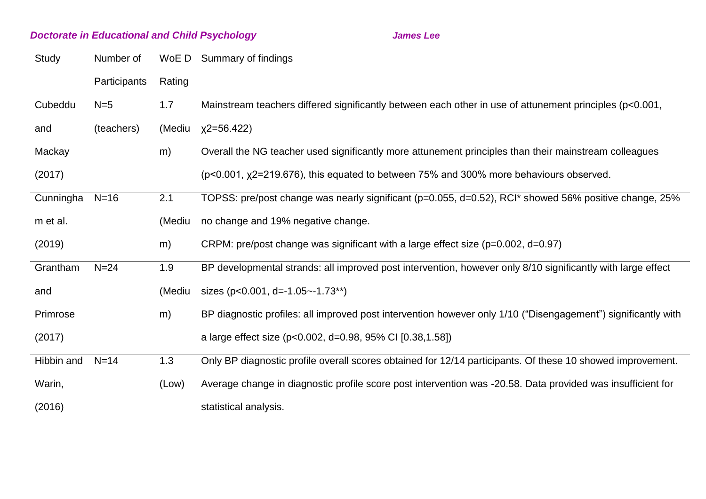# *Doctorate in Educational and Child Psychology James Lee*

| WoE D Summary of findings |
|---------------------------|
|                           |

Participants Rating

| Cubeddu    | $N=5$      | 1.7    | Mainstream teachers differed significantly between each other in use of attunement principles (p<0.001,       |
|------------|------------|--------|---------------------------------------------------------------------------------------------------------------|
| and        | (teachers) | (Mediu | $x2=56.422$                                                                                                   |
| Mackay     |            | m)     | Overall the NG teacher used significantly more attunement principles than their mainstream colleagues         |
| (2017)     |            |        | $(p<0.001, \chi2=219.676)$ , this equated to between 75% and 300% more behaviours observed.                   |
| Cunningha  | $N=16$     | 2.1    | TOPSS: pre/post change was nearly significant (p=0.055, d=0.52), RCI* showed 56% positive change, 25%         |
| m et al.   |            | (Mediu | no change and 19% negative change.                                                                            |
| (2019)     |            | m)     | CRPM: pre/post change was significant with a large effect size ( $p=0.002$ , $d=0.97$ )                       |
| Grantham   | $N=24$     | 1.9    | BP developmental strands: all improved post intervention, however only 8/10 significantly with large effect   |
| and        |            | (Mediu | sizes ( $p < 0.001$ , d=-1.05 ~- 1.73**)                                                                      |
| Primrose   |            | m)     | BP diagnostic profiles: all improved post intervention however only 1/10 ("Disengagement") significantly with |
| (2017)     |            |        | a large effect size (p<0.002, d=0.98, 95% CI [0.38,1.58])                                                     |
| Hibbin and | $N=14$     | 1.3    | Only BP diagnostic profile overall scores obtained for 12/14 participants. Of these 10 showed improvement.    |
| Warin,     |            | (Low)  | Average change in diagnostic profile score post intervention was -20.58. Data provided was insufficient for   |
| (2016)     |            |        | statistical analysis.                                                                                         |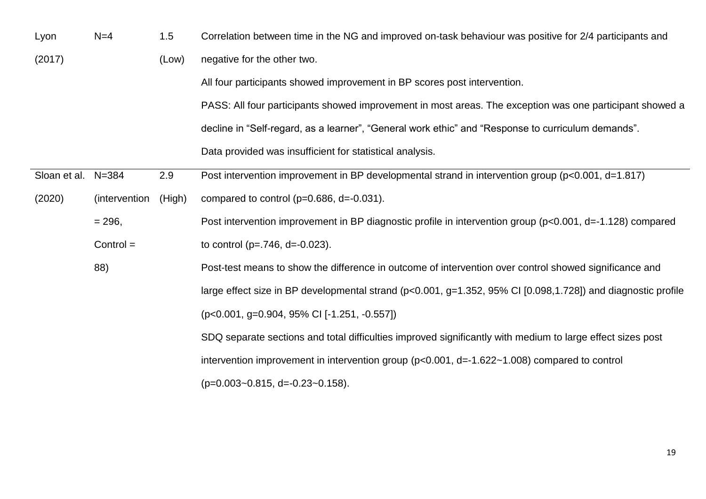| Lyon         | $N=4$         | 1.5    | Correlation between time in the NG and improved on-task behaviour was positive for 2/4 participants and      |
|--------------|---------------|--------|--------------------------------------------------------------------------------------------------------------|
| (2017)       |               | (Low)  | negative for the other two.                                                                                  |
|              |               |        | All four participants showed improvement in BP scores post intervention.                                     |
|              |               |        | PASS: All four participants showed improvement in most areas. The exception was one participant showed a     |
|              |               |        | decline in "Self-regard, as a learner", "General work ethic" and "Response to curriculum demands".           |
|              |               |        | Data provided was insufficient for statistical analysis.                                                     |
| Sloan et al. | $N = 384$     | 2.9    | Post intervention improvement in BP developmental strand in intervention group (p<0.001, d=1.817)            |
| (2020)       | (intervention | (High) | compared to control ( $p=0.686$ , $d=-0.031$ ).                                                              |
|              | $= 296,$      |        | Post intervention improvement in BP diagnostic profile in intervention group (p<0.001, d=-1.128) compared    |
|              | $Control =$   |        | to control ( $p = .746$ , $d = -0.023$ ).                                                                    |
|              | 88)           |        | Post-test means to show the difference in outcome of intervention over control showed significance and       |
|              |               |        | large effect size in BP developmental strand (p<0.001, g=1.352, 95% CI [0.098,1.728]) and diagnostic profile |
|              |               |        | (p<0.001, g=0.904, 95% CI [-1.251, -0.557])                                                                  |
|              |               |        | SDQ separate sections and total difficulties improved significantly with medium to large effect sizes post   |
|              |               |        | intervention improvement in intervention group ( $p<0.001$ , $d=-1.622-1.008$ ) compared to control          |
|              |               |        | $(p=0.003-0.815, d=-0.23-0.158).$                                                                            |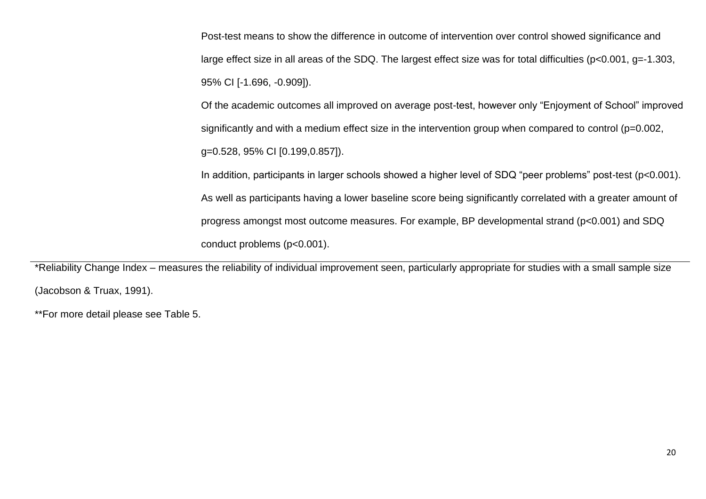Post-test means to show the difference in outcome of intervention over control showed significance and large effect size in all areas of the SDQ. The largest effect size was for total difficulties (p<0.001, g=-1.303, 95% CI [-1.696, -0.909]).

Of the academic outcomes all improved on average post-test, however only "Enjoyment of School" improved significantly and with a medium effect size in the intervention group when compared to control (p=0.002, g=0.528, 95% CI [0.199,0.857]).

In addition, participants in larger schools showed a higher level of SDQ "peer problems" post-test (p<0.001). As well as participants having a lower baseline score being significantly correlated with a greater amount of progress amongst most outcome measures. For example, BP developmental strand (p<0.001) and SDQ conduct problems (p<0.001).

\*Reliability Change Index – measures the reliability of individual improvement seen, particularly appropriate for studies with a small sample size (Jacobson & Truax, 1991).

\*\*For more detail please see Table 5.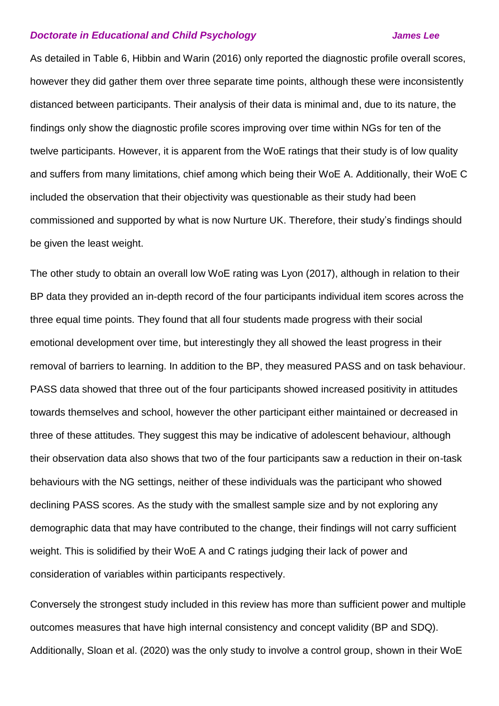### *Doctorate in Educational and Child Psychology James Lee*

As detailed in Table 6, Hibbin and Warin (2016) only reported the diagnostic profile overall scores, however they did gather them over three separate time points, although these were inconsistently distanced between participants. Their analysis of their data is minimal and, due to its nature, the findings only show the diagnostic profile scores improving over time within NGs for ten of the twelve participants. However, it is apparent from the WoE ratings that their study is of low quality and suffers from many limitations, chief among which being their WoE A. Additionally, their WoE C included the observation that their objectivity was questionable as their study had been commissioned and supported by what is now Nurture UK. Therefore, their study's findings should be given the least weight.

The other study to obtain an overall low WoE rating was Lyon (2017), although in relation to their BP data they provided an in-depth record of the four participants individual item scores across the three equal time points. They found that all four students made progress with their social emotional development over time, but interestingly they all showed the least progress in their removal of barriers to learning. In addition to the BP, they measured PASS and on task behaviour. PASS data showed that three out of the four participants showed increased positivity in attitudes towards themselves and school, however the other participant either maintained or decreased in three of these attitudes. They suggest this may be indicative of adolescent behaviour, although their observation data also shows that two of the four participants saw a reduction in their on-task behaviours with the NG settings, neither of these individuals was the participant who showed declining PASS scores. As the study with the smallest sample size and by not exploring any demographic data that may have contributed to the change, their findings will not carry sufficient weight. This is solidified by their WoE A and C ratings judging their lack of power and consideration of variables within participants respectively.

Conversely the strongest study included in this review has more than sufficient power and multiple outcomes measures that have high internal consistency and concept validity (BP and SDQ). Additionally, Sloan et al. (2020) was the only study to involve a control group, shown in their WoE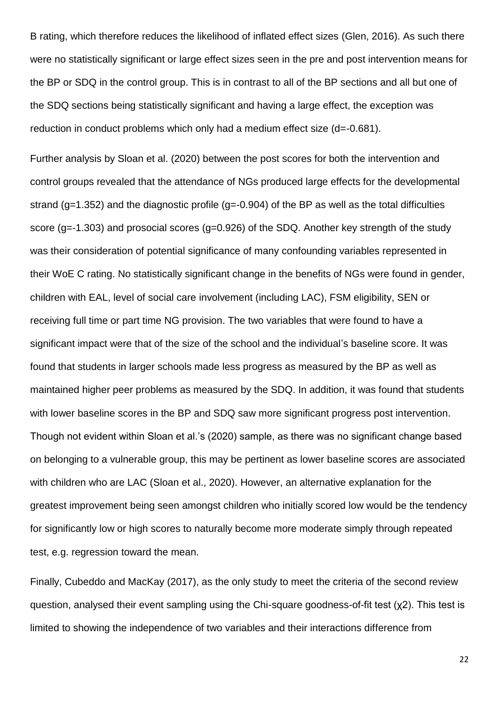B rating, which therefore reduces the likelihood of inflated effect sizes (Glen, 2016). As such there were no statistically significant or large effect sizes seen in the pre and post intervention means for the BP or SDQ in the control group. This is in contrast to all of the BP sections and all but one of the SDQ sections being statistically significant and having a large effect, the exception was reduction in conduct problems which only had a medium effect size (d=-0.681).

Further analysis by Sloan et al. (2020) between the post scores for both the intervention and control groups revealed that the attendance of NGs produced large effects for the developmental strand (g=1.352) and the diagnostic profile (g=-0.904) of the BP as well as the total difficulties score (g=-1.303) and prosocial scores (g=0.926) of the SDQ. Another key strength of the study was their consideration of potential significance of many confounding variables represented in their WoE C rating. No statistically significant change in the benefits of NGs were found in gender, children with EAL, level of social care involvement (including LAC), FSM eligibility, SEN or receiving full time or part time NG provision. The two variables that were found to have a significant impact were that of the size of the school and the individual's baseline score. It was found that students in larger schools made less progress as measured by the BP as well as maintained higher peer problems as measured by the SDQ. In addition, it was found that students with lower baseline scores in the BP and SDQ saw more significant progress post intervention. Though not evident within Sloan et al.'s (2020) sample, as there was no significant change based on belonging to a vulnerable group, this may be pertinent as lower baseline scores are associated with children who are LAC (Sloan et al., 2020). However, an alternative explanation for the greatest improvement being seen amongst children who initially scored low would be the tendency for significantly low or high scores to naturally become more moderate simply through repeated test, e.g. regression toward the mean.

Finally, Cubeddo and MacKay (2017), as the only study to meet the criteria of the second review question, analysed their event sampling using the Chi-square goodness-of-fit test (χ2). This test is limited to showing the independence of two variables and their interactions difference from

22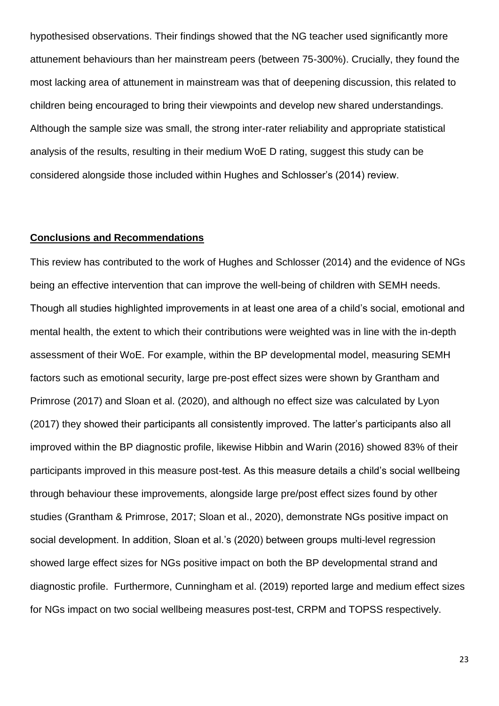hypothesised observations. Their findings showed that the NG teacher used significantly more attunement behaviours than her mainstream peers (between 75-300%). Crucially, they found the most lacking area of attunement in mainstream was that of deepening discussion, this related to children being encouraged to bring their viewpoints and develop new shared understandings. Although the sample size was small, the strong inter-rater reliability and appropriate statistical analysis of the results, resulting in their medium WoE D rating, suggest this study can be considered alongside those included within Hughes and Schlosser's (2014) review.

# **Conclusions and Recommendations**

This review has contributed to the work of Hughes and Schlosser (2014) and the evidence of NGs being an effective intervention that can improve the well-being of children with SEMH needs. Though all studies highlighted improvements in at least one area of a child's social, emotional and mental health, the extent to which their contributions were weighted was in line with the in-depth assessment of their WoE. For example, within the BP developmental model, measuring SEMH factors such as emotional security, large pre-post effect sizes were shown by Grantham and Primrose (2017) and Sloan et al. (2020), and although no effect size was calculated by Lyon (2017) they showed their participants all consistently improved. The latter's participants also all improved within the BP diagnostic profile, likewise Hibbin and Warin (2016) showed 83% of their participants improved in this measure post-test. As this measure details a child's social wellbeing through behaviour these improvements, alongside large pre/post effect sizes found by other studies (Grantham & Primrose, 2017; Sloan et al., 2020), demonstrate NGs positive impact on social development. In addition, Sloan et al.'s (2020) between groups multi-level regression showed large effect sizes for NGs positive impact on both the BP developmental strand and diagnostic profile. Furthermore, Cunningham et al. (2019) reported large and medium effect sizes for NGs impact on two social wellbeing measures post-test, CRPM and TOPSS respectively.

23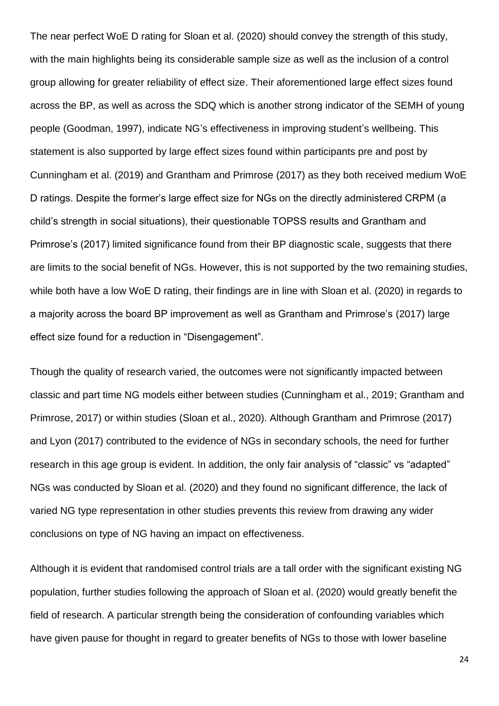The near perfect WoE D rating for Sloan et al. (2020) should convey the strength of this study, with the main highlights being its considerable sample size as well as the inclusion of a control group allowing for greater reliability of effect size. Their aforementioned large effect sizes found across the BP, as well as across the SDQ which is another strong indicator of the SEMH of young people (Goodman, 1997), indicate NG's effectiveness in improving student's wellbeing. This statement is also supported by large effect sizes found within participants pre and post by Cunningham et al. (2019) and Grantham and Primrose (2017) as they both received medium WoE D ratings. Despite the former's large effect size for NGs on the directly administered CRPM (a child's strength in social situations), their questionable TOPSS results and Grantham and Primrose's (2017) limited significance found from their BP diagnostic scale, suggests that there are limits to the social benefit of NGs. However, this is not supported by the two remaining studies, while both have a low WoE D rating, their findings are in line with Sloan et al. (2020) in regards to a majority across the board BP improvement as well as Grantham and Primrose's (2017) large effect size found for a reduction in "Disengagement".

Though the quality of research varied, the outcomes were not significantly impacted between classic and part time NG models either between studies (Cunningham et al., 2019; Grantham and Primrose, 2017) or within studies (Sloan et al., 2020). Although Grantham and Primrose (2017) and Lyon (2017) contributed to the evidence of NGs in secondary schools, the need for further research in this age group is evident. In addition, the only fair analysis of "classic" vs "adapted" NGs was conducted by Sloan et al. (2020) and they found no significant difference, the lack of varied NG type representation in other studies prevents this review from drawing any wider conclusions on type of NG having an impact on effectiveness.

Although it is evident that randomised control trials are a tall order with the significant existing NG population, further studies following the approach of Sloan et al. (2020) would greatly benefit the field of research. A particular strength being the consideration of confounding variables which have given pause for thought in regard to greater benefits of NGs to those with lower baseline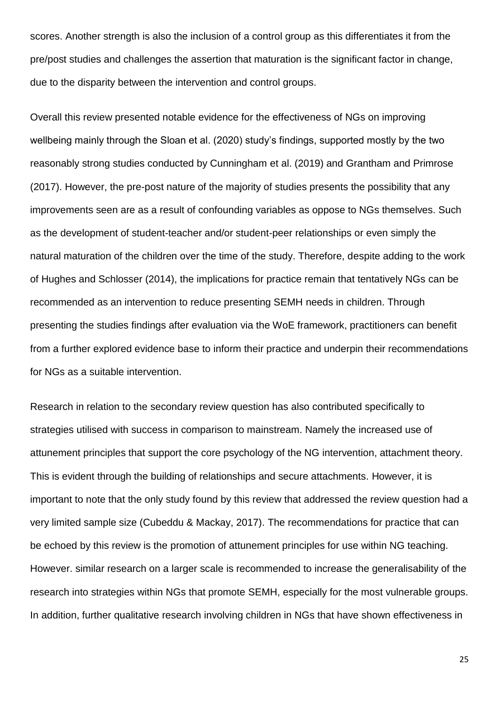scores. Another strength is also the inclusion of a control group as this differentiates it from the pre/post studies and challenges the assertion that maturation is the significant factor in change, due to the disparity between the intervention and control groups.

Overall this review presented notable evidence for the effectiveness of NGs on improving wellbeing mainly through the Sloan et al. (2020) study's findings, supported mostly by the two reasonably strong studies conducted by Cunningham et al. (2019) and Grantham and Primrose (2017). However, the pre-post nature of the majority of studies presents the possibility that any improvements seen are as a result of confounding variables as oppose to NGs themselves. Such as the development of student-teacher and/or student-peer relationships or even simply the natural maturation of the children over the time of the study. Therefore, despite adding to the work of Hughes and Schlosser (2014), the implications for practice remain that tentatively NGs can be recommended as an intervention to reduce presenting SEMH needs in children. Through presenting the studies findings after evaluation via the WoE framework, practitioners can benefit from a further explored evidence base to inform their practice and underpin their recommendations for NGs as a suitable intervention.

Research in relation to the secondary review question has also contributed specifically to strategies utilised with success in comparison to mainstream. Namely the increased use of attunement principles that support the core psychology of the NG intervention, attachment theory. This is evident through the building of relationships and secure attachments. However, it is important to note that the only study found by this review that addressed the review question had a very limited sample size (Cubeddu & Mackay, 2017). The recommendations for practice that can be echoed by this review is the promotion of attunement principles for use within NG teaching. However. similar research on a larger scale is recommended to increase the generalisability of the research into strategies within NGs that promote SEMH, especially for the most vulnerable groups. In addition, further qualitative research involving children in NGs that have shown effectiveness in

25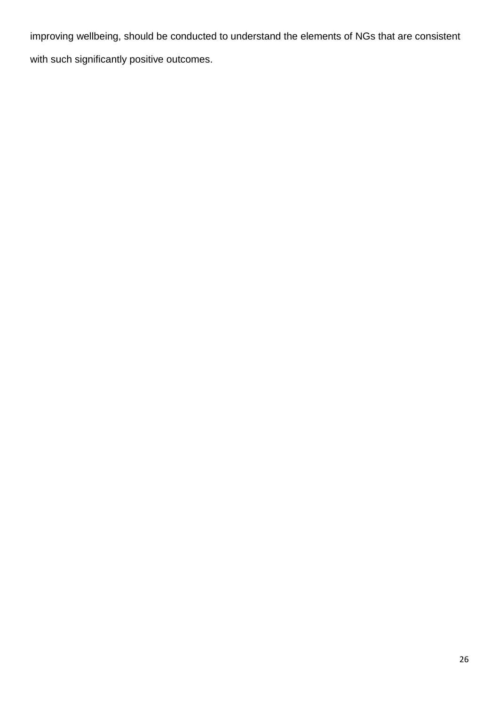improving wellbeing, should be conducted to understand the elements of NGs that are consistent with such significantly positive outcomes.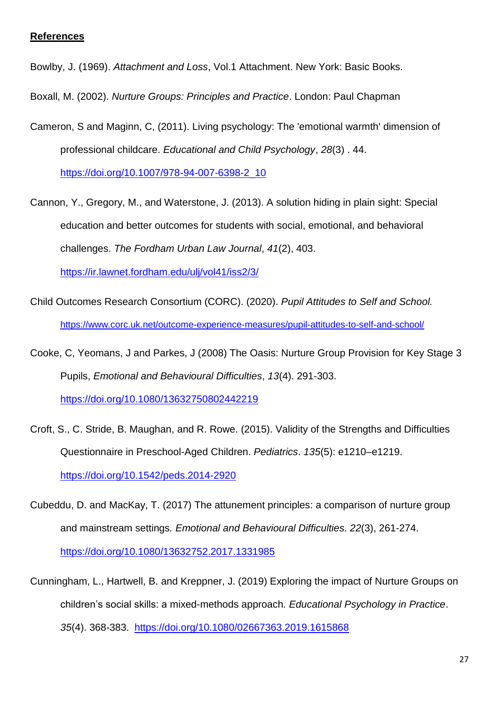# **References**

Bowlby, J. (1969). *Attachment and Loss*, Vol.1 Attachment. New York: Basic Books.

Boxall, M. (2002). *Nurture Groups: Principles and Practice*. London: Paul Chapman

Cameron, S and Maginn, C, (2011). Living psychology: The 'emotional warmth' dimension of professional childcare. *Educational and Child Psychology*, *28*(3) . 44.

[https://doi.org/10.1007/978-94-007-6398-2\\_10](https://doi.org/10.1007/978-94-007-6398-2_10)

- Cannon, Y., Gregory, M., and Waterstone, J. (2013). A solution hiding in plain sight: Special education and better outcomes for students with social, emotional, and behavioral challenges. *The Fordham Urban Law Journal*, *41*(2), 403. <https://ir.lawnet.fordham.edu/ulj/vol41/iss2/3/>
- Child Outcomes Research Consortium (CORC). (2020). *Pupil Attitudes to Self and School.*  <https://www.corc.uk.net/outcome-experience-measures/pupil-attitudes-to-self-and-school/>
- Cooke, C, Yeomans, J and Parkes, J (2008) The Oasis: Nurture Group Provision for Key Stage 3 Pupils, *Emotional and Behavioural Difficulties*, *13*(4). 291-303. <https://doi.org/10.1080/13632750802442219>
- Croft, S., C. Stride, B. Maughan, and R. Rowe. (2015). Validity of the Strengths and Difficulties Questionnaire in Preschool-Aged Children. *Pediatrics*. *135*(5): e1210–e1219. <https://doi.org/10.1542/peds.2014-2920>
- Cubeddu, D. and MacKay, T. (2017) The attunement principles: a comparison of nurture group and mainstream settings*. Emotional and Behavioural Difficulties*. *22*(3), 261-274. <https://doi.org/10.1080/13632752.2017.1331985>
- Cunningham, L., Hartwell, B. and Kreppner, J. (2019) Exploring the impact of Nurture Groups on children's social skills: a mixed-methods approach*. Educational Psychology in Practice*. *35*(4). 368-383. <https://doi.org/10.1080/02667363.2019.1615868>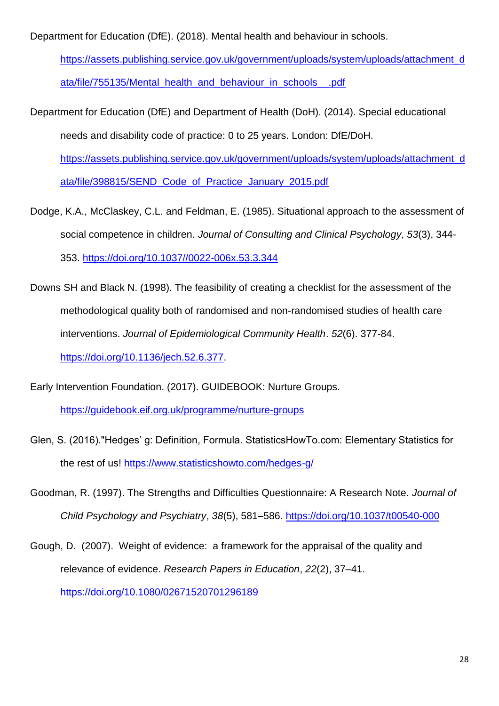Department for Education (DfE). (2018). Mental health and behaviour in schools.

[https://assets.publishing.service.gov.uk/government/uploads/system/uploads/attachment\\_d](https://assets.publishing.service.gov.uk/government/uploads/system/uploads/attachment_data/file/755135/Mental_health_and_behaviour_in_schools__.pdf) [ata/file/755135/Mental\\_health\\_and\\_behaviour\\_in\\_schools\\_\\_.pdf](https://assets.publishing.service.gov.uk/government/uploads/system/uploads/attachment_data/file/755135/Mental_health_and_behaviour_in_schools__.pdf)

Department for Education (DfE) and Department of Health (DoH). (2014). Special educational needs and disability code of practice: 0 to 25 years. London: DfE/DoH.

[https://assets.publishing.service.gov.uk/government/uploads/system/uploads/attachment\\_d](https://assets.publishing.service.gov.uk/government/uploads/system/uploads/attachment_data/file/398815/SEND_Code_of_Practice_January_2015.pdf) [ata/file/398815/SEND\\_Code\\_of\\_Practice\\_January\\_2015.pdf](https://assets.publishing.service.gov.uk/government/uploads/system/uploads/attachment_data/file/398815/SEND_Code_of_Practice_January_2015.pdf)

- Dodge, K.A., McClaskey, C.L. and Feldman, E. (1985). Situational approach to the assessment of social competence in children. *Journal of Consulting and Clinical Psychology*, *53*(3), 344- 353. [https://doi.org/10.1037//0022-006x.53.3.344](https://doi.org/10.1037/0022-006x.53.3.344)
- Downs SH and Black N. (1998). The feasibility of creating a checklist for the assessment of the methodological quality both of randomised and non-randomised studies of health care interventions. *Journal of Epidemiological Community Health*. *52*(6). 377-84. [https://doi.org/10.1136/jech.52.6.377.](https://doi.org/10.1136/jech.52.6.377)
- Early Intervention Foundation. (2017). GUIDEBOOK: Nurture Groups.

<https://guidebook.eif.org.uk/programme/nurture-groups>

- Glen, S. (2016)."Hedges' g: Definition, Formula. StatisticsHowTo.com: Elementary Statistics for the rest of us!<https://www.statisticshowto.com/hedges-g/>
- Goodman, R. (1997). The Strengths and Difficulties Questionnaire: A Research Note. *Journal of Child Psychology and Psychiatry*, *38*(5), 581–586.<https://doi.org/10.1037/t00540-000>
- Gough, D. (2007). Weight of evidence: a framework for the appraisal of the quality and relevance of evidence. *Research Papers in Education*, *22*(2), 37–41. <https://doi.org/10.1080/02671520701296189>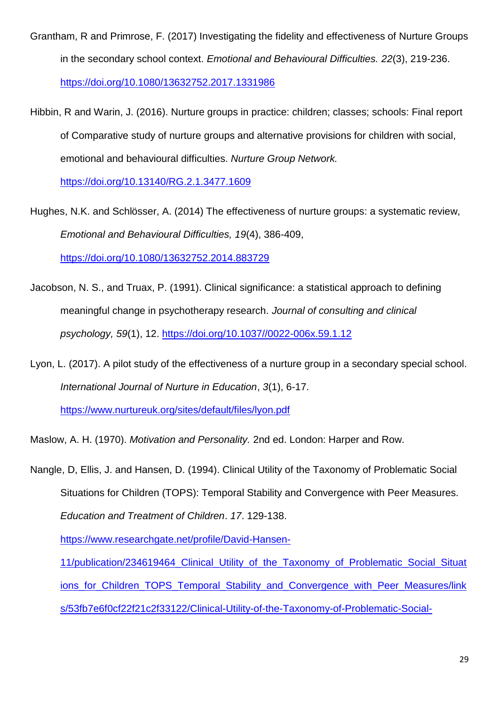- Grantham, R and Primrose, F. (2017) Investigating the fidelity and effectiveness of Nurture Groups in the secondary school context. *Emotional and Behavioural Difficulties. 22*(3), 219-236. <https://doi.org/10.1080/13632752.2017.1331986>
- Hibbin, R and Warin, J. (2016). Nurture groups in practice: children; classes; schools: Final report of Comparative study of nurture groups and alternative provisions for children with social, emotional and behavioural difficulties. *Nurture Group Network.*

<https://doi.org/10.13140/RG.2.1.3477.1609>

- Hughes, N.K. and Schlösser, A. (2014) The effectiveness of nurture groups: a systematic review, *Emotional and Behavioural Difficulties, 19*(4), 386-409, <https://doi.org/10.1080/13632752.2014.883729>
- Jacobson, N. S., and Truax, P. (1991). Clinical significance: a statistical approach to defining meaningful change in psychotherapy research. *Journal of consulting and clinical psychology, 59*(1), 12. [https://doi.org/10.1037//0022-006x.59.1.12](https://doi.org/10.1037/0022-006x.59.1.12)
- Lyon, L. (2017). A pilot study of the effectiveness of a nurture group in a secondary special school*. International Journal of Nurture in Education*, *3*(1), 6-17.

<https://www.nurtureuk.org/sites/default/files/lyon.pdf>

Maslow, A. H. (1970). *Motivation and Personality.* 2nd ed. London: Harper and Row.

Nangle, D, Ellis, J. and Hansen, D. (1994). Clinical Utility of the Taxonomy of Problematic Social Situations for Children (TOPS): Temporal Stability and Convergence with Peer Measures. *Education and Treatment of Children*. *17*. 129-138.

[https://www.researchgate.net/profile/David-Hansen-](https://www.researchgate.net/profile/David-Hansen-11/publication/234619464_Clinical_Utility_of_the_Taxonomy_of_Problematic_Social_Situations_for_Children_TOPS_Temporal_Stability_and_Convergence_with_Peer_Measures/links/53fb7e6f0cf22f21c2f33122/Clinical-Utility-of-the-Taxonomy-of-Problematic-Social-Situations-for-Children-TOPS-Temporal-Stability-and-Convergence-with-Peer-Measures.pdf)

[11/publication/234619464\\_Clinical\\_Utility\\_of\\_the\\_Taxonomy\\_of\\_Problematic\\_Social\\_Situat](https://www.researchgate.net/profile/David-Hansen-11/publication/234619464_Clinical_Utility_of_the_Taxonomy_of_Problematic_Social_Situations_for_Children_TOPS_Temporal_Stability_and_Convergence_with_Peer_Measures/links/53fb7e6f0cf22f21c2f33122/Clinical-Utility-of-the-Taxonomy-of-Problematic-Social-Situations-for-Children-TOPS-Temporal-Stability-and-Convergence-with-Peer-Measures.pdf) ions for Children TOPS Temporal Stability and Convergence with Peer Measures/link [s/53fb7e6f0cf22f21c2f33122/Clinical-Utility-of-the-Taxonomy-of-Problematic-Social-](https://www.researchgate.net/profile/David-Hansen-11/publication/234619464_Clinical_Utility_of_the_Taxonomy_of_Problematic_Social_Situations_for_Children_TOPS_Temporal_Stability_and_Convergence_with_Peer_Measures/links/53fb7e6f0cf22f21c2f33122/Clinical-Utility-of-the-Taxonomy-of-Problematic-Social-Situations-for-Children-TOPS-Temporal-Stability-and-Convergence-with-Peer-Measures.pdf)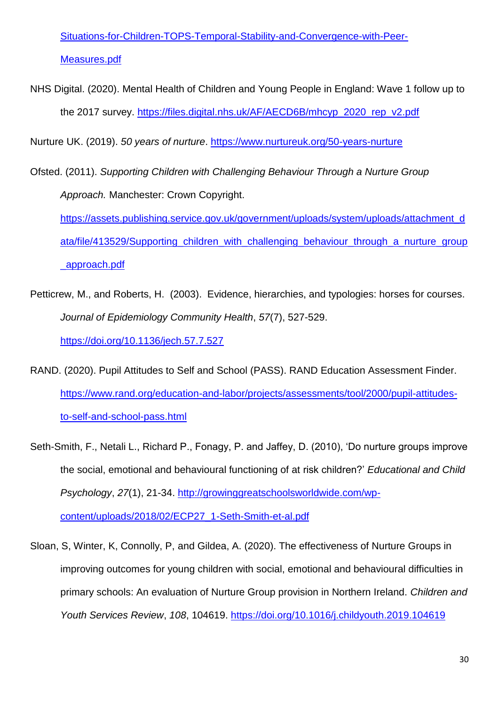[Situations-for-Children-TOPS-Temporal-Stability-and-Convergence-with-Peer-](https://www.researchgate.net/profile/David-Hansen-11/publication/234619464_Clinical_Utility_of_the_Taxonomy_of_Problematic_Social_Situations_for_Children_TOPS_Temporal_Stability_and_Convergence_with_Peer_Measures/links/53fb7e6f0cf22f21c2f33122/Clinical-Utility-of-the-Taxonomy-of-Problematic-Social-Situations-for-Children-TOPS-Temporal-Stability-and-Convergence-with-Peer-Measures.pdf)[Measures.pdf](https://www.researchgate.net/profile/David-Hansen-11/publication/234619464_Clinical_Utility_of_the_Taxonomy_of_Problematic_Social_Situations_for_Children_TOPS_Temporal_Stability_and_Convergence_with_Peer_Measures/links/53fb7e6f0cf22f21c2f33122/Clinical-Utility-of-the-Taxonomy-of-Problematic-Social-Situations-for-Children-TOPS-Temporal-Stability-and-Convergence-with-Peer-Measures.pdf)

NHS Digital. (2020). Mental Health of Children and Young People in England: Wave 1 follow up to the 2017 survey. [https://files.digital.nhs.uk/AF/AECD6B/mhcyp\\_2020\\_rep\\_v2.pdf](https://files.digital.nhs.uk/AF/AECD6B/mhcyp_2020_rep_v2.pdf)

Nurture UK. (2019). *50 years of nurture*.<https://www.nurtureuk.org/50-years-nurture>

- Ofsted. (2011). *Supporting Children with Challenging Behaviour Through a Nurture Group Approach.* Manchester: Crown Copyright. [https://assets.publishing.service.gov.uk/government/uploads/system/uploads/attachment\\_d](https://assets.publishing.service.gov.uk/government/uploads/system/uploads/attachment_data/file/413529/Supporting_children_with_challenging_behaviour_through_a_nurture_group_approach.pdf) ata/file/413529/Supporting children with challenging behaviour through a nurture group [\\_approach.pdf](https://assets.publishing.service.gov.uk/government/uploads/system/uploads/attachment_data/file/413529/Supporting_children_with_challenging_behaviour_through_a_nurture_group_approach.pdf)
- Petticrew, M., and Roberts, H. (2003). Evidence, hierarchies, and typologies: horses for courses. *Journal of Epidemiology Community Health*, *57*(7), 527-529. <https://doi.org/10.1136/jech.57.7.527>
- RAND. (2020). Pupil Attitudes to Self and School (PASS). RAND Education Assessment Finder. [https://www.rand.org/education-and-labor/projects/assessments/tool/2000/pupil-attitudes](https://www.rand.org/education-and-labor/projects/assessments/tool/2000/pupil-attitudes-to-self-and-school-pass.html)[to-self-and-school-pass.html](https://www.rand.org/education-and-labor/projects/assessments/tool/2000/pupil-attitudes-to-self-and-school-pass.html)
- Seth-Smith, F., Netali L., Richard P., Fonagy, P. and Jaffey, D. (2010), 'Do nurture groups improve the social, emotional and behavioural functioning of at risk children?' *Educational and Child Psychology*, *27*(1), 21-34. [http://growinggreatschoolsworldwide.com/wp](http://growinggreatschoolsworldwide.com/wp-content/uploads/2018/02/ECP27_1-Seth-Smith-et-al.pdf)[content/uploads/2018/02/ECP27\\_1-Seth-Smith-et-al.pdf](http://growinggreatschoolsworldwide.com/wp-content/uploads/2018/02/ECP27_1-Seth-Smith-et-al.pdf)
- Sloan, S, Winter, K, Connolly, P, and Gildea, A. (2020). The effectiveness of Nurture Groups in improving outcomes for young children with social, emotional and behavioural difficulties in primary schools: An evaluation of Nurture Group provision in Northern Ireland. *Children and Youth Services Review*, *108*, 104619.<https://doi.org/10.1016/j.childyouth.2019.104619>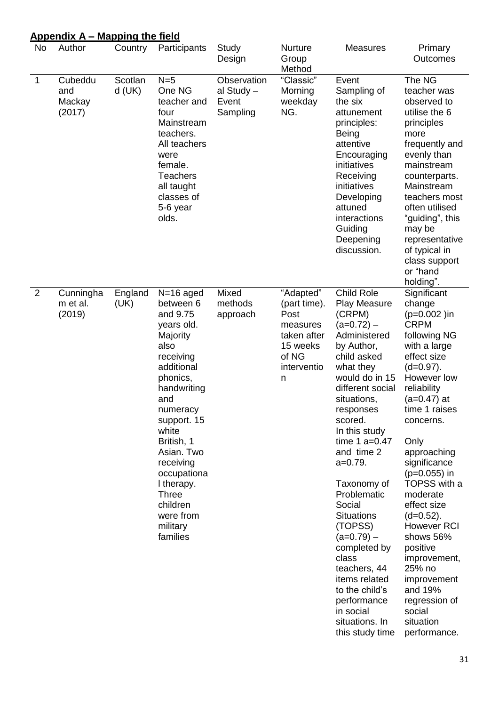|                | <b>Appendix A – Mapping the field</b> |                     |                                                                                                                                                                                                                                                                                                                |                                                |                                                                                                       |                                                                                                                                                                                                                                                                                                                                                                                                                                                                                                |                                                                                                                                                                                                                                                                                                                                                                                                                                                                          |
|----------------|---------------------------------------|---------------------|----------------------------------------------------------------------------------------------------------------------------------------------------------------------------------------------------------------------------------------------------------------------------------------------------------------|------------------------------------------------|-------------------------------------------------------------------------------------------------------|------------------------------------------------------------------------------------------------------------------------------------------------------------------------------------------------------------------------------------------------------------------------------------------------------------------------------------------------------------------------------------------------------------------------------------------------------------------------------------------------|--------------------------------------------------------------------------------------------------------------------------------------------------------------------------------------------------------------------------------------------------------------------------------------------------------------------------------------------------------------------------------------------------------------------------------------------------------------------------|
| <b>No</b>      | Author                                | Country             | Participants                                                                                                                                                                                                                                                                                                   | Study<br>Design                                | Nurture<br>Group<br>Method                                                                            | <b>Measures</b>                                                                                                                                                                                                                                                                                                                                                                                                                                                                                | Primary<br>Outcomes                                                                                                                                                                                                                                                                                                                                                                                                                                                      |
| $\mathbf 1$    | Cubeddu<br>and<br>Mackay<br>(2017)    | Scotlan<br>$d$ (UK) | $N=5$<br>One NG<br>teacher and<br>four<br>Mainstream<br>teachers.<br>All teachers<br>were<br>female.<br><b>Teachers</b><br>all taught<br>classes of<br>5-6 year<br>olds.                                                                                                                                       | Observation<br>al Study -<br>Event<br>Sampling | "Classic"<br>Morning<br>weekday<br>NG.                                                                | Event<br>Sampling of<br>the six<br>attunement<br>principles:<br>Being<br>attentive<br>Encouraging<br>initiatives<br>Receiving<br>initiatives<br>Developing<br>attuned<br>interactions<br>Guiding<br>Deepening<br>discussion.                                                                                                                                                                                                                                                                   | The NG<br>teacher was<br>observed to<br>utilise the 6<br>principles<br>more<br>frequently and<br>evenly than<br>mainstream<br>counterparts.<br>Mainstream<br>teachers most<br>often utilised<br>"guiding", this<br>may be<br>representative<br>of typical in<br>class support<br>or "hand<br>holding".                                                                                                                                                                   |
| $\overline{2}$ | Cunningha<br>m et al.<br>(2019)       | England<br>(UK)     | $N=16$ aged<br>between 6<br>and 9.75<br>years old.<br>Majority<br>also<br>receiving<br>additional<br>phonics,<br>handwriting<br>and<br>numeracy<br>support. 15<br>white<br>British, 1<br>Asian. Two<br>receiving<br>occupationa<br>I therapy.<br><b>Three</b><br>children<br>were from<br>military<br>families | Mixed<br>methods<br>approach                   | "Adapted"<br>(part time).<br>Post<br>measures<br>taken after<br>15 weeks<br>of NG<br>interventio<br>n | Child Role<br>Play Measure<br>(CRPM)<br>(a=0.72) –<br>Administered<br>by Author,<br>child asked<br>what they<br>would do in 15<br>different social<br>situations,<br>responses<br>scored.<br>In this study<br>time $1$ a=0.47<br>and time 2<br>$a=0.79$ .<br>Taxonomy of<br>Problematic<br>Social<br><b>Situations</b><br>(TOPSS)<br>$(a=0.79) -$<br>completed by<br>class<br>teachers, 44<br>items related<br>to the child's<br>performance<br>in social<br>situations. In<br>this study time | Significant<br>change<br>$(p=0.002)$ in<br><b>CRPM</b><br>following NG<br>with a large<br>effect size<br>$(d=0.97)$ .<br>However low<br>reliability<br>(a=0.47) at<br>time 1 raises<br>concerns.<br>Only<br>approaching<br>significance<br>$(p=0.055)$ in<br>TOPSS with a<br>moderate<br>effect size<br>$(d=0.52)$ .<br>However RCI<br>shows 56%<br>positive<br>improvement,<br>25% no<br>improvement<br>and 19%<br>regression of<br>social<br>situation<br>performance. |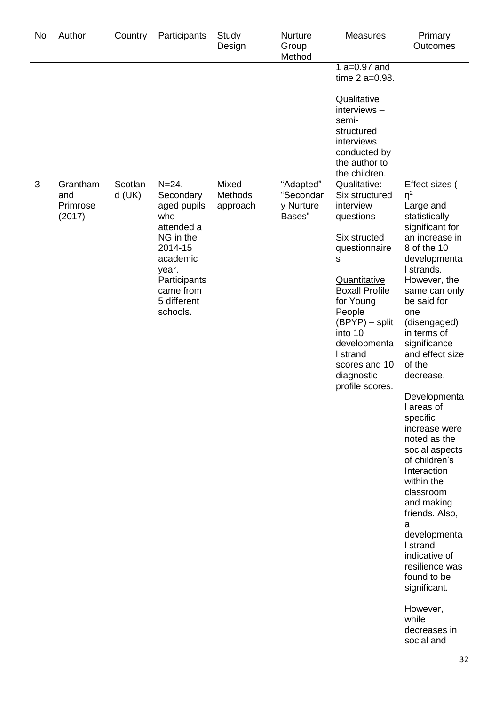| No | Author                                | Country             | Participants                                                                                                                                                    | Study<br>Design              | <b>Nurture</b><br>Group<br>Method             | <b>Measures</b>                                                                                                                                                                                                                                                                  | Primary<br>Outcomes                                                                                                                                                                                                                                                                                                                                                                                                                                                                                                                                                                                                                      |
|----|---------------------------------------|---------------------|-----------------------------------------------------------------------------------------------------------------------------------------------------------------|------------------------------|-----------------------------------------------|----------------------------------------------------------------------------------------------------------------------------------------------------------------------------------------------------------------------------------------------------------------------------------|------------------------------------------------------------------------------------------------------------------------------------------------------------------------------------------------------------------------------------------------------------------------------------------------------------------------------------------------------------------------------------------------------------------------------------------------------------------------------------------------------------------------------------------------------------------------------------------------------------------------------------------|
|    |                                       |                     |                                                                                                                                                                 |                              |                                               | $1a=0.97$ and<br>time 2 a=0.98.                                                                                                                                                                                                                                                  |                                                                                                                                                                                                                                                                                                                                                                                                                                                                                                                                                                                                                                          |
|    |                                       |                     |                                                                                                                                                                 |                              |                                               | Qualitative<br>interviews-<br>semi-<br>structured<br>interviews<br>conducted by<br>the author to<br>the children.                                                                                                                                                                |                                                                                                                                                                                                                                                                                                                                                                                                                                                                                                                                                                                                                                          |
| 3  | Grantham<br>and<br>Primrose<br>(2017) | Scotlan<br>$d$ (UK) | $N = 24.$<br>Secondary<br>aged pupils<br>who<br>attended a<br>NG in the<br>2014-15<br>academic<br>year.<br>Participants<br>came from<br>5 different<br>schools. | Mixed<br>Methods<br>approach | "Adapted"<br>"Secondar<br>y Nurture<br>Bases" | Qualitative:<br>Six structured<br>interview<br>questions<br>Six structed<br>questionnaire<br>S<br><b>Quantitative</b><br><b>Boxall Profile</b><br>for Young<br>People<br>(BPYP) - split<br>into 10<br>developmenta<br>I strand<br>scores and 10<br>diagnostic<br>profile scores. | Effect sizes (<br>$\eta^2$<br>Large and<br>statistically<br>significant for<br>an increase in<br>8 of the 10<br>developmenta<br>I strands.<br>However, the<br>same can only<br>be said for<br>one<br>(disengaged)<br>in terms of<br>significance<br>and effect size<br>of the<br>decrease.<br>Developmenta<br>I areas of<br>specific<br>increase were<br>noted as the<br>social aspects<br>of children's<br>Interaction<br>within the<br>classroom<br>and making<br>friends. Also,<br>a<br>developmenta<br>I strand<br>indicative of<br>resilience was<br>found to be<br>significant.<br>However,<br>while<br>decreases in<br>social and |
|    |                                       |                     |                                                                                                                                                                 |                              |                                               |                                                                                                                                                                                                                                                                                  | 22                                                                                                                                                                                                                                                                                                                                                                                                                                                                                                                                                                                                                                       |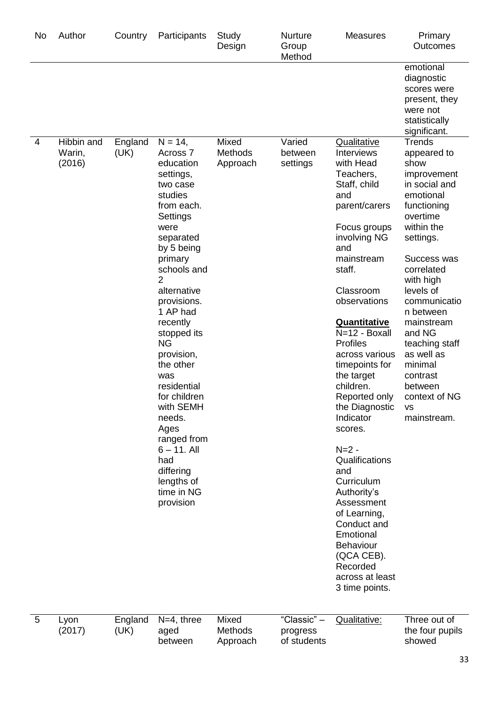| No | Author                         | Country         | Participants                                                                                                                                                                                                                                                                                                                                                                                                                                                  | Study<br>Design                     | Nurture<br>Group<br>Method             | <b>Measures</b>                                                                                                                                                                                                                                                                                                                                                                                                                                                                                                                                                                                            | Primary<br>Outcomes                                                                                                                                                                                                                                                                                                                                                |
|----|--------------------------------|-----------------|---------------------------------------------------------------------------------------------------------------------------------------------------------------------------------------------------------------------------------------------------------------------------------------------------------------------------------------------------------------------------------------------------------------------------------------------------------------|-------------------------------------|----------------------------------------|------------------------------------------------------------------------------------------------------------------------------------------------------------------------------------------------------------------------------------------------------------------------------------------------------------------------------------------------------------------------------------------------------------------------------------------------------------------------------------------------------------------------------------------------------------------------------------------------------------|--------------------------------------------------------------------------------------------------------------------------------------------------------------------------------------------------------------------------------------------------------------------------------------------------------------------------------------------------------------------|
|    |                                |                 |                                                                                                                                                                                                                                                                                                                                                                                                                                                               |                                     |                                        |                                                                                                                                                                                                                                                                                                                                                                                                                                                                                                                                                                                                            | emotional<br>diagnostic<br>scores were<br>present, they<br>were not<br>statistically<br>significant.                                                                                                                                                                                                                                                               |
| 4  | Hibbin and<br>Warin,<br>(2016) | England<br>(UK) | $N = 14,$<br>Across <sub>7</sub><br>education<br>settings,<br>two case<br>studies<br>from each.<br>Settings<br>were<br>separated<br>by 5 being<br>primary<br>schools and<br>2<br>alternative<br>provisions.<br>1 AP had<br>recently<br>stopped its<br><b>NG</b><br>provision,<br>the other<br>was<br>residential<br>for children<br>with SEMH<br>needs.<br>Ages<br>ranged from<br>$6 - 11$ . All<br>had<br>differing<br>lengths of<br>time in NG<br>provision | Mixed<br><b>Methods</b><br>Approach | Varied<br>between<br>settings          | <b>Qualitative</b><br><b>Interviews</b><br>with Head<br>Teachers,<br>Staff, child<br>and<br>parent/carers<br>Focus groups<br>involving NG<br>and<br>mainstream<br>staff.<br>Classroom<br>observations<br><b>Quantitative</b><br>N=12 - Boxall<br><b>Profiles</b><br>across various<br>timepoints for<br>the target<br>children.<br>Reported only<br>the Diagnostic<br>Indicator<br>scores.<br>$N = 2 -$<br>Qualifications<br>and<br>Curriculum<br>Authority's<br>Assessment<br>of Learning,<br>Conduct and<br>Emotional<br><b>Behaviour</b><br>(QCA CEB).<br>Recorded<br>across at least<br>3 time points. | <b>Trends</b><br>appeared to<br>show<br>improvement<br>in social and<br>emotional<br>functioning<br>overtime<br>within the<br>settings.<br>Success was<br>correlated<br>with high<br>levels of<br>communicatio<br>n between<br>mainstream<br>and NG<br>teaching staff<br>as well as<br>minimal<br>contrast<br>between<br>context of NG<br><b>VS</b><br>mainstream. |
| 5  | Lyon<br>(2017)                 | England<br>(UK) | $N=4$ , three<br>aged<br>between                                                                                                                                                                                                                                                                                                                                                                                                                              | Mixed<br>Methods<br>Approach        | "Classic" -<br>progress<br>of students | Qualitative:                                                                                                                                                                                                                                                                                                                                                                                                                                                                                                                                                                                               | Three out of<br>the four pupils<br>showed                                                                                                                                                                                                                                                                                                                          |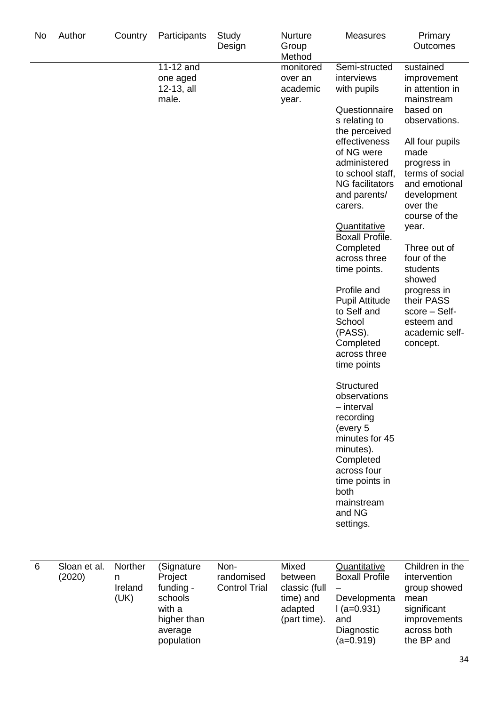| No | Author                 | Country                         | Participants                                                                                    | Study<br>Design                            | <b>Nurture</b><br>Group<br>Method                                         | <b>Measures</b>                                                                                                                                                                                                                                                                                                                                                                                                                                                                                                                                                                                                                            | Primary<br>Outcomes                                                                                                                                                                                                                                                                                                                                                      |
|----|------------------------|---------------------------------|-------------------------------------------------------------------------------------------------|--------------------------------------------|---------------------------------------------------------------------------|--------------------------------------------------------------------------------------------------------------------------------------------------------------------------------------------------------------------------------------------------------------------------------------------------------------------------------------------------------------------------------------------------------------------------------------------------------------------------------------------------------------------------------------------------------------------------------------------------------------------------------------------|--------------------------------------------------------------------------------------------------------------------------------------------------------------------------------------------------------------------------------------------------------------------------------------------------------------------------------------------------------------------------|
|    |                        |                                 | 11-12 and<br>one aged<br>12-13, all<br>male.                                                    |                                            | monitored<br>over an<br>academic<br>year.                                 | Semi-structed<br>interviews<br>with pupils<br>Questionnaire<br>s relating to<br>the perceived<br>effectiveness<br>of NG were<br>administered<br>to school staff,<br><b>NG</b> facilitators<br>and parents/<br>carers.<br><b>Quantitative</b><br><b>Boxall Profile.</b><br>Completed<br>across three<br>time points.<br>Profile and<br><b>Pupil Attitude</b><br>to Self and<br>School<br>(PASS).<br>Completed<br>across three<br>time points<br>Structured<br>observations<br>- interval<br>recording<br>(every 5<br>minutes for 45<br>minutes).<br>Completed<br>across four<br>time points in<br>both<br>mainstream<br>and NG<br>settings. | sustained<br>improvement<br>in attention in<br>mainstream<br>based on<br>observations.<br>All four pupils<br>made<br>progress in<br>terms of social<br>and emotional<br>development<br>over the<br>course of the<br>year.<br>Three out of<br>four of the<br>students<br>showed<br>progress in<br>their PASS<br>score - Self-<br>esteem and<br>academic self-<br>concept. |
| 6  | Sloan et al.<br>(2020) | Norther<br>n<br>Ireland<br>(UK) | (Signature<br>Project<br>funding -<br>schools<br>with a<br>higher than<br>average<br>population | Non-<br>randomised<br><b>Control Trial</b> | Mixed<br>between<br>classic (full<br>time) and<br>adapted<br>(part time). | Quantitative<br><b>Boxall Profile</b><br>Developmenta<br>$I(a=0.931)$<br>and<br>Diagnostic<br>$(a=0.919)$                                                                                                                                                                                                                                                                                                                                                                                                                                                                                                                                  | Children in the<br>intervention<br>group showed<br>mean<br>significant<br>improvements<br>across both<br>the BP and                                                                                                                                                                                                                                                      |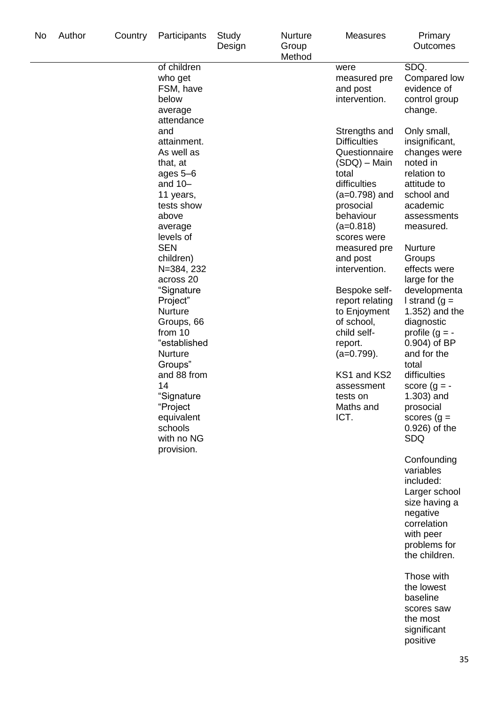| No | Author | Country | Participants                                                                                                                                                                                                                                                                                                                                                                                                  | Study<br>Design | Nurture<br>Group<br>Method | <b>Measures</b>                                                                                                                                                                                                                                                                                                                                                                                   | Primary<br><b>Outcomes</b>                                                                                                                                                                                                                                                                                                                                                                                                                                                                                                                                                                                                                                                                                 |
|----|--------|---------|---------------------------------------------------------------------------------------------------------------------------------------------------------------------------------------------------------------------------------------------------------------------------------------------------------------------------------------------------------------------------------------------------------------|-----------------|----------------------------|---------------------------------------------------------------------------------------------------------------------------------------------------------------------------------------------------------------------------------------------------------------------------------------------------------------------------------------------------------------------------------------------------|------------------------------------------------------------------------------------------------------------------------------------------------------------------------------------------------------------------------------------------------------------------------------------------------------------------------------------------------------------------------------------------------------------------------------------------------------------------------------------------------------------------------------------------------------------------------------------------------------------------------------------------------------------------------------------------------------------|
|    |        |         | of children<br>who get<br>FSM, have<br>below<br>average                                                                                                                                                                                                                                                                                                                                                       |                 |                            | were<br>measured pre<br>and post<br>intervention.                                                                                                                                                                                                                                                                                                                                                 | SDQ.<br>Compared low<br>evidence of<br>control group<br>change.                                                                                                                                                                                                                                                                                                                                                                                                                                                                                                                                                                                                                                            |
|    |        |         | attendance<br>and<br>attainment.<br>As well as<br>that, at<br>ages 5–6<br>and $10-$<br>11 years,<br>tests show<br>above<br>average<br>levels of<br><b>SEN</b><br>children)<br>N=384, 232<br>across 20<br>"Signature<br>Project"<br>Nurture<br>Groups, 66<br>from 10<br>"established<br>Nurture<br>Groups"<br>and 88 from<br>14<br>"Signature<br>"Project<br>equivalent<br>schools<br>with no NG<br>provision. |                 |                            | Strengths and<br><b>Difficulties</b><br>Questionnaire<br>(SDQ) – Main<br>total<br>difficulties<br>$(a=0.798)$ and<br>prosocial<br>behaviour<br>$(a=0.818)$<br>scores were<br>measured pre<br>and post<br>intervention.<br>Bespoke self-<br>report relating<br>to Enjoyment<br>of school,<br>child self-<br>report.<br>$(a=0.799)$ .<br>KS1 and KS2<br>assessment<br>tests on<br>Maths and<br>ICT. | Only small,<br>insignificant,<br>changes were<br>noted in<br>relation to<br>attitude to<br>school and<br>academic<br>assessments<br>measured.<br><b>Nurture</b><br>Groups<br>effects were<br>large for the<br>developmenta<br>I strand $(g =$<br>1.352) and the<br>diagnostic<br>profile $(g = -$<br>$0.904$ ) of BP<br>and for the<br>total<br>difficulties<br>score $(g = -$<br>1.303) and<br>prosocial<br>scores $(g =$<br>0.926) of the<br><b>SDQ</b><br>Confounding<br>variables<br>included:<br>Larger school<br>size having a<br>negative<br>correlation<br>with peer<br>problems for<br>the children.<br>Those with<br>the lowest<br>baseline<br>scores saw<br>the most<br>significant<br>positive |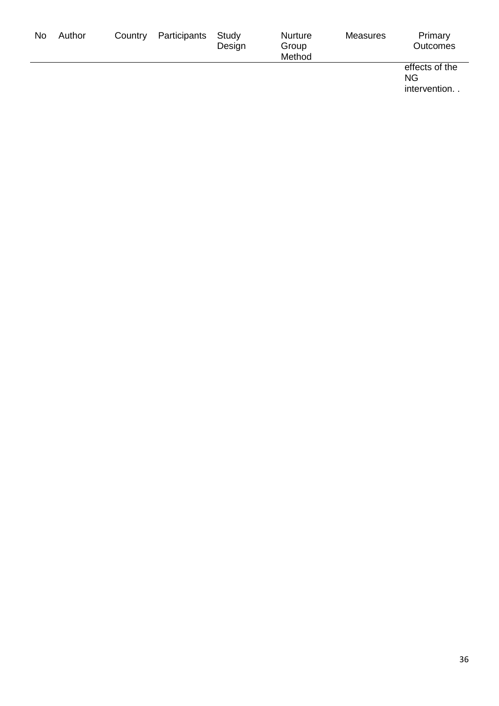| No | Author | Country | Participants | Study<br>Design | <b>Nurture</b><br>Group<br>Method | Measures | Primary<br><b>Outcomes</b>                  |
|----|--------|---------|--------------|-----------------|-----------------------------------|----------|---------------------------------------------|
|    |        |         |              |                 |                                   |          | effects of the<br><b>NG</b><br>intervention |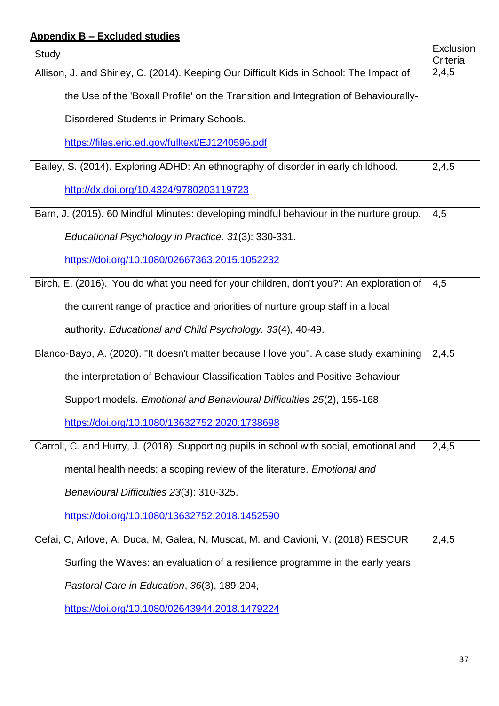# **Appendix B – Excluded studies** Study Exclusion **Criteria** Allison, J. and Shirley, C. (2014). Keeping Our Difficult Kids in School: The Impact of the Use of the 'Boxall Profile' on the Transition and Integration of Behaviourally-Disordered Students in Primary Schools. <https://files.eric.ed.gov/fulltext/EJ1240596.pdf>  $2,4,5$ Bailey, S. (2014). Exploring ADHD: An ethnography of disorder in early childhood. <http://dx.doi.org/10.4324/9780203119723> 2,4,5 Barn, J. (2015). 60 Mindful Minutes: developing mindful behaviour in the nurture group. *Educational Psychology in Practice. 31*(3): 330-331. <https://doi.org/10.1080/02667363.2015.1052232> 4,5 Birch, E. (2016). 'You do what you need for your children, don't you?': An exploration of the current range of practice and priorities of nurture group staff in a local authority. *Educational and Child Psychology. 33*(4), 40-49. 4,5 Blanco-Bayo, A. (2020). "It doesn't matter because I love you". A case study examining the interpretation of Behaviour Classification Tables and Positive Behaviour Support models. *Emotional and Behavioural Difficulties 25*(2), 155-168. <https://doi.org/10.1080/13632752.2020.1738698> 2,4,5 Carroll, C. and Hurry, J. (2018). Supporting pupils in school with social, emotional and mental health needs: a scoping review of the literature. *Emotional and Behavioural Difficulties 23*(3): 310-325. <https://doi.org/10.1080/13632752.2018.1452590> 2,4,5 Cefai, C, Arlove, A, Duca, M, Galea, N, Muscat, M. and Cavioni, V. (2018) RESCUR Surfing the Waves: an evaluation of a resilience programme in the early years, *Pastoral Care in Education*, *36*(3), 189-204, 2,4,5

<https://doi.org/10.1080/02643944.2018.1479224>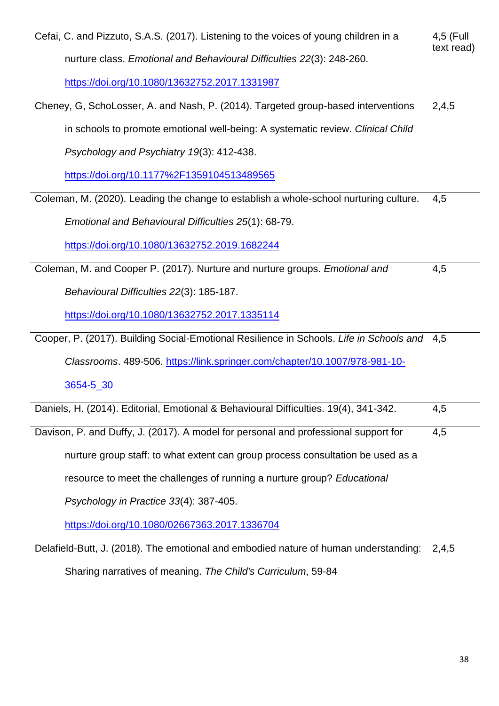| Cefai, C. and Pizzuto, S.A.S. (2017). Listening to the voices of young children in a        | 4,5 (Full<br>text read) |
|---------------------------------------------------------------------------------------------|-------------------------|
| nurture class. Emotional and Behavioural Difficulties 22(3): 248-260.                       |                         |
| https://doi.org/10.1080/13632752.2017.1331987                                               |                         |
| Cheney, G, SchoLosser, A. and Nash, P. (2014). Targeted group-based interventions           | 2,4,5                   |
| in schools to promote emotional well-being: A systematic review. Clinical Child             |                         |
| Psychology and Psychiatry 19(3): 412-438.                                                   |                         |
| https://doi.org/10.1177%2F1359104513489565                                                  |                         |
| Coleman, M. (2020). Leading the change to establish a whole-school nurturing culture.       | 4,5                     |
| Emotional and Behavioural Difficulties 25(1): 68-79.                                        |                         |
| https://doi.org/10.1080/13632752.2019.1682244                                               |                         |
| Coleman, M. and Cooper P. (2017). Nurture and nurture groups. Emotional and                 | 4,5                     |
| Behavioural Difficulties 22(3): 185-187.                                                    |                         |
| https://doi.org/10.1080/13632752.2017.1335114                                               |                         |
| Cooper, P. (2017). Building Social-Emotional Resilience in Schools. Life in Schools and 4,5 |                         |
| Classrooms. 489-506. https://link.springer.com/chapter/10.1007/978-981-10-                  |                         |
| 3654-5_30                                                                                   |                         |
| Daniels, H. (2014). Editorial, Emotional & Behavioural Difficulties. 19(4), 341-342.        | 4,5                     |
| Davison, P. and Duffy, J. (2017). A model for personal and professional support for         | 4,5                     |
| nurture group staff: to what extent can group process consultation be used as a             |                         |
| resource to meet the challenges of running a nurture group? Educational                     |                         |
| Psychology in Practice 33(4): 387-405.                                                      |                         |
| https://doi.org/10.1080/02667363.2017.1336704                                               |                         |

Delafield-Butt, J. (2018). The emotional and embodied nature of human understanding: 2,4,5Sharing narratives of meaning. *The Child's Curriculum*, 59-84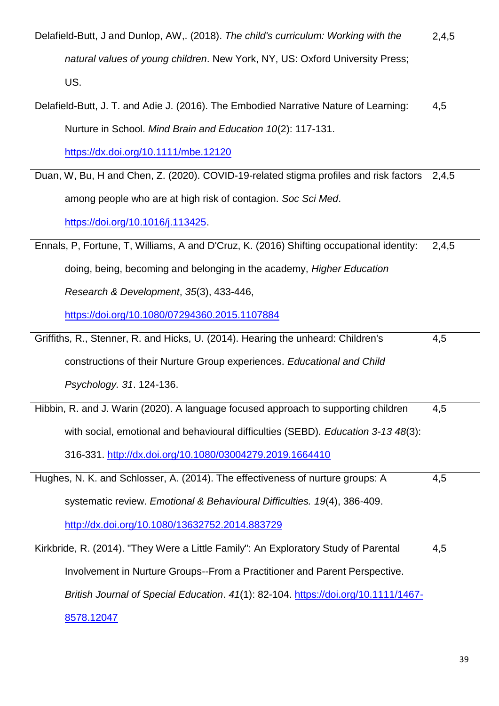| Delafield-Butt, J and Dunlop, AW,. (2018). The child's curriculum: Working with the      | 2,4,5 |
|------------------------------------------------------------------------------------------|-------|
| natural values of young children. New York, NY, US: Oxford University Press;             |       |
| US.                                                                                      |       |
| Delafield-Butt, J. T. and Adie J. (2016). The Embodied Narrative Nature of Learning:     | 4,5   |
| Nurture in School. Mind Brain and Education 10(2): 117-131.                              |       |
| https://dx.doi.org/10.1111/mbe.12120                                                     |       |
| Duan, W, Bu, H and Chen, Z. (2020). COVID-19-related stigma profiles and risk factors    | 2,4,5 |
| among people who are at high risk of contagion. Soc Sci Med.                             |       |
| https://doi.org/10.1016/j.113425.                                                        |       |
| Ennals, P, Fortune, T, Williams, A and D'Cruz, K. (2016) Shifting occupational identity: | 2,4,5 |
| doing, being, becoming and belonging in the academy, Higher Education                    |       |
| Research & Development, 35(3), 433-446,                                                  |       |
| https://doi.org/10.1080/07294360.2015.1107884                                            |       |
| Griffiths, R., Stenner, R. and Hicks, U. (2014). Hearing the unheard: Children's         | 4,5   |
| constructions of their Nurture Group experiences. Educational and Child                  |       |
| Psychology. 31. 124-136.                                                                 |       |
| Hibbin, R. and J. Warin (2020). A language focused approach to supporting children       | 4,5   |
| with social, emotional and behavioural difficulties (SEBD). Education 3-13 48(3):        |       |
| 316-331. http://dx.doi.org/10.1080/03004279.2019.1664410                                 |       |
| Hughes, N. K. and Schlosser, A. (2014). The effectiveness of nurture groups: A           | 4,5   |
| systematic review. Emotional & Behavioural Difficulties. 19(4), 386-409.                 |       |
| http://dx.doi.org/10.1080/13632752.2014.883729                                           |       |
| Kirkbride, R. (2014). "They Were a Little Family": An Exploratory Study of Parental      | 4,5   |
| Involvement in Nurture Groups--From a Practitioner and Parent Perspective.               |       |
| British Journal of Special Education. 41(1): 82-104. https://doi.org/10.1111/1467-       |       |
| 8578.12047                                                                               |       |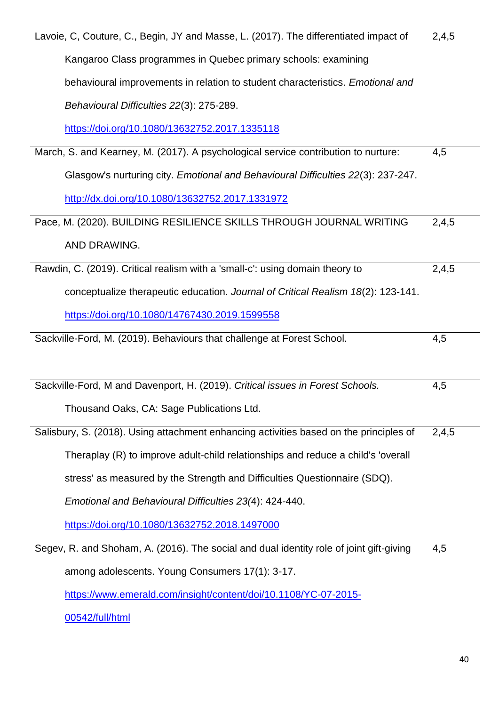| Lavoie, C, Couture, C., Begin, JY and Masse, L. (2017). The differentiated impact of    | 2,4,5 |
|-----------------------------------------------------------------------------------------|-------|
| Kangaroo Class programmes in Quebec primary schools: examining                          |       |
| behavioural improvements in relation to student characteristics. Emotional and          |       |
| Behavioural Difficulties 22(3): 275-289.                                                |       |
| https://doi.org/10.1080/13632752.2017.1335118                                           |       |
| March, S. and Kearney, M. (2017). A psychological service contribution to nurture:      | 4,5   |
| Glasgow's nurturing city. Emotional and Behavioural Difficulties 22(3): 237-247.        |       |
| http://dx.doi.org/10.1080/13632752.2017.1331972                                         |       |
| Pace, M. (2020). BUILDING RESILIENCE SKILLS THROUGH JOURNAL WRITING                     | 2,4,5 |
| AND DRAWING.                                                                            |       |
| Rawdin, C. (2019). Critical realism with a 'small-c': using domain theory to            | 2,4,5 |
| conceptualize therapeutic education. Journal of Critical Realism 18(2): 123-141.        |       |
| https://doi.org/10.1080/14767430.2019.1599558                                           |       |
| Sackville-Ford, M. (2019). Behaviours that challenge at Forest School.                  | 4,5   |
|                                                                                         |       |
|                                                                                         |       |
| Sackville-Ford, M and Davenport, H. (2019). Critical issues in Forest Schools.          | 4,5   |
| Thousand Oaks, CA: Sage Publications Ltd.                                               |       |
| Salisbury, S. (2018). Using attachment enhancing activities based on the principles of  | 2,4,5 |
| Theraplay (R) to improve adult-child relationships and reduce a child's 'overall        |       |
| stress' as measured by the Strength and Difficulties Questionnaire (SDQ).               |       |
| Emotional and Behavioural Difficulties 23(4): 424-440.                                  |       |
| https://doi.org/10.1080/13632752.2018.1497000                                           |       |
| Segev, R. and Shoham, A. (2016). The social and dual identity role of joint gift-giving | 4,5   |
| among adolescents. Young Consumers 17(1): 3-17.                                         |       |

[00542/full/html](https://www.emerald.com/insight/content/doi/10.1108/YC-07-2015-00542/full/html)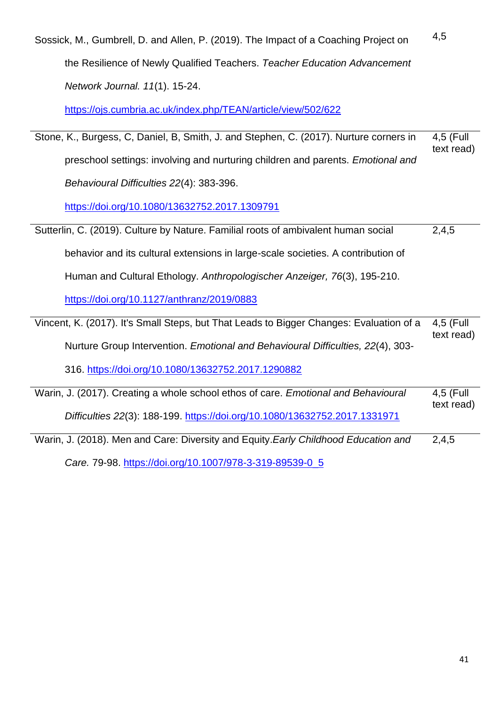Sossick, M., Gumbrell, D. and Allen, P. (2019). The Impact of a Coaching Project on the Resilience of Newly Qualified Teachers. *Teacher Education Advancement Network Journal. 11*(1). 15-24. 4,5

<https://ojs.cumbria.ac.uk/index.php/TEAN/article/view/502/622>

Stone, K., Burgess, C, Daniel, B, Smith, J. and Stephen, C. (2017). Nurture corners in preschool settings: involving and nurturing children and parents. *Emotional and Behavioural Difficulties 22*(4): 383-396. 4,5 (Full text read)

<https://doi.org/10.1080/13632752.2017.1309791>

| Sutterlin, C. (2019). Culture by Nature. Familial roots of ambivalent human social | 2,4,5 |
|------------------------------------------------------------------------------------|-------|
| behavior and its cultural extensions in large-scale societies. A contribution of   |       |
| Human and Cultural Ethology. Anthropologischer Anzeiger, 76(3), 195-210.           |       |
| https://doi.org/10.1127/anthranz/2019/0883                                         |       |

Vincent, K. (2017). It's Small Steps, but That Leads to Bigger Changes: Evaluation of a Nurture Group Intervention. *Emotional and Behavioural Difficulties, 22*(4), 303- 4,5 (Full text read)

316.<https://doi.org/10.1080/13632752.2017.1290882>

| Warin, J. (2017). Creating a whole school ethos of care. Emotional and Behavioural | 4,5 (Full  |
|------------------------------------------------------------------------------------|------------|
| Difficulties 22(3): 188-199. https://doi.org/10.1080/13632752.2017.1331971         | text read) |
|                                                                                    |            |

Warin, J. (2018). Men and Care: Diversity and Equity.*Early Childhood Education and Care.* 79-98. [https://doi.org/10.1007/978-3-319-89539-0\\_5](https://doi.org/10.1007/978-3-319-89539-0_5) 2,4,5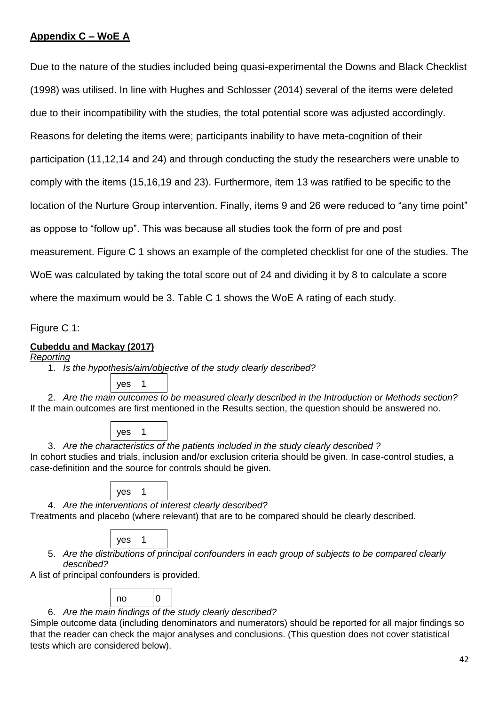# **Appendix C – WoE A**

Due to the nature of the studies included being quasi-experimental the Downs and Black Checklist (1998) was utilised. In line with Hughes and Schlosser (2014) several of the items were deleted due to their incompatibility with the studies, the total potential score was adjusted accordingly. Reasons for deleting the items were; participants inability to have meta-cognition of their participation (11,12,14 and 24) and through conducting the study the researchers were unable to comply with the items (15,16,19 and 23). Furthermore, item 13 was ratified to be specific to the location of the Nurture Group intervention. Finally, items 9 and 26 were reduced to "any time point" as oppose to "follow up". This was because all studies took the form of pre and post measurement. Figure C 1 shows an example of the completed checklist for one of the studies. The WoE was calculated by taking the total score out of 24 and dividing it by 8 to calculate a score where the maximum would be 3. Table C 1 shows the WoE A rating of each study.

Figure C 1:

# **Cubeddu and Mackay (2017)**

# *Reporting*

1. *Is the hypothesis/aim/objective of the study clearly described?*

yes 1

2. *Are the main outcomes to be measured clearly described in the Introduction or Methods section?* If the main outcomes are first mentioned in the Results section, the question should be answered no.

| ves |  |
|-----|--|
|-----|--|

3. *Are the characteristics of the patients included in the study clearly described ?* In cohort studies and trials, inclusion and/or exclusion criteria should be given. In case-control studies, a case-definition and the source for controls should be given.

| ۷<br>÷<br>×. |  |
|--------------|--|
|--------------|--|

4. *Are the interventions of interest clearly described?*

Treatments and placebo (where relevant) that are to be compared should be clearly described.

|--|--|

5. *Are the distributions of principal confounders in each group of subjects to be compared clearly described?*

A list of principal confounders is provided.

| $\overline{\phantom{a}}$ | . . |  |
|--------------------------|-----|--|
|                          |     |  |

6. *Are the main findings of the study clearly described?*

Simple outcome data (including denominators and numerators) should be reported for all major findings so that the reader can check the major analyses and conclusions. (This question does not cover statistical tests which are considered below).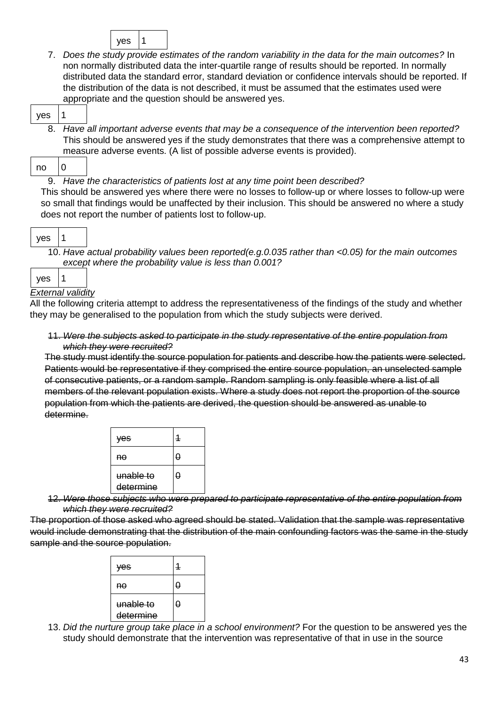|--|--|

7. *Does the study provide estimates of the random variability in the data for the main outcomes?* In non normally distributed data the inter-quartile range of results should be reported. In normally distributed data the standard error, standard deviation or confidence intervals should be reported. If the distribution of the data is not described, it must be assumed that the estimates used were appropriate and the question should be answered yes.

|--|

8. *Have all important adverse events that may be a consequence of the intervention been reported?*  This should be answered yes if the study demonstrates that there was a comprehensive attempt to measure adverse events. (A list of possible adverse events is provided).

9. *Have the characteristics of patients lost at any time point been described?*

This should be answered yes where there were no losses to follow-up or where losses to follow-up were so small that findings would be unaffected by their inclusion. This should be answered no where a study does not report the number of patients lost to follow-up.

|--|--|

10. *Have actual probability values been reported(e.g.0.035 rather than <0.05) for the main outcomes except where the probability value is less than 0.001?*

| ves |                |
|-----|----------------|
|     | Fyternal valio |

# *External validity*

All the following criteria attempt to address the representativeness of the findings of the study and whether they may be generalised to the population from which the study subjects were derived.

11. *Were the subjects asked to participate in the study representative of the entire population from which they were recruited?*

The study must identify the source population for patients and describe how the patients were selected. Patients would be representative if they comprised the entire source population, an unselected sample of consecutive patients, or a random sample. Random sampling is only feasible where a list of all members of the relevant population exists. Where a study does not report the proportion of the source population from which the patients are derived, the question should be answered as unable to determine.

| yes                    |   |
|------------------------|---|
| no                     | Ω |
| unable to<br>determine | θ |

12. *Were those subjects who were prepared to participate representative of the entire population from which they were recruited?*

The proportion of those asked who agreed should be stated. Validation that the sample was representative would include demonstrating that the distribution of the main confounding factors was the same in the study sample and the source population.

| ves                    | 1 |
|------------------------|---|
| nθ                     | 0 |
| unable to<br>determine | θ |

13. *Did the nurture group take place in a school environment?* For the question to be answered yes the study should demonstrate that the intervention was representative of that in use in the source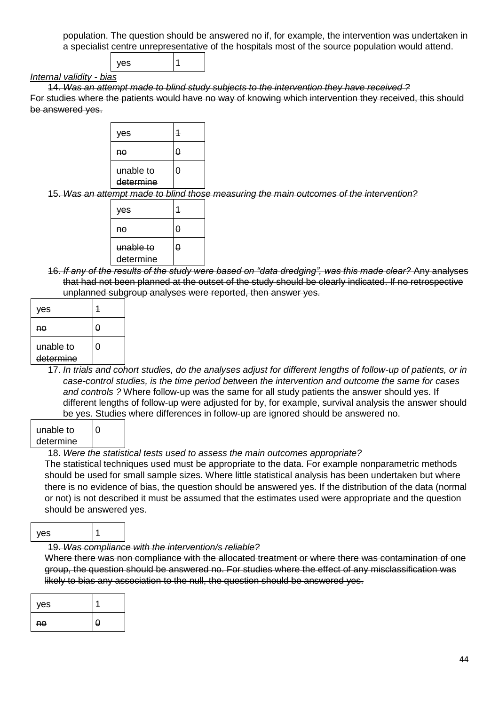population. The question should be answered no if, for example, the intervention was undertaken in a specialist centre unrepresentative of the hospitals most of the source population would attend.



### *Internal validity - bias*

14. *Was an attempt made to blind study subjects to the intervention they have received ?* For studies where the patients would have no way of knowing which intervention they received, this should be answered yes.



15. *Was an attempt made to blind those measuring the main outcomes of the intervention?*

| ves                    | 1 |  |
|------------------------|---|--|
| nθ                     | A |  |
| unable to<br>determine | θ |  |

16. *If any of the results of the study were based on "data dredging", was this made clear?* Any analyses that had not been planned at the outset of the study should be clearly indicated. If no retrospective unplanned subgroup analyses were reported, then answer yes.

| ves                    |   |
|------------------------|---|
| Aθ                     | O |
| unable to<br>determine | A |

17. *In trials and cohort studies, do the analyses adjust for different lengths of follow-up of patients, or in case-control studies, is the time period between the intervention and outcome the same for cases and controls ?* Where follow-up was the same for all study patients the answer should yes. If different lengths of follow-up were adjusted for by, for example, survival analysis the answer should be yes. Studies where differences in follow-up are ignored should be answered no.

| unable to | I٥ |
|-----------|----|
| determine |    |

### 18. *Were the statistical tests used to assess the main outcomes appropriate?*

The statistical techniques used must be appropriate to the data. For example nonparametric methods should be used for small sample sizes. Where little statistical analysis has been undertaken but where there is no evidence of bias, the question should be answered yes. If the distribution of the data (normal or not) is not described it must be assumed that the estimates used were appropriate and the question should be answered yes.

### yes 1

### 19. *Was compliance with the intervention/s reliable?*

Where there was non compliance with the allocated treatment or where there was contamination of one group, the question should be answered no. For studies where the effect of any misclassification was likely to bias any association to the null, the question should be answered yes.

| <b>Ves</b> |   |
|------------|---|
| no         | O |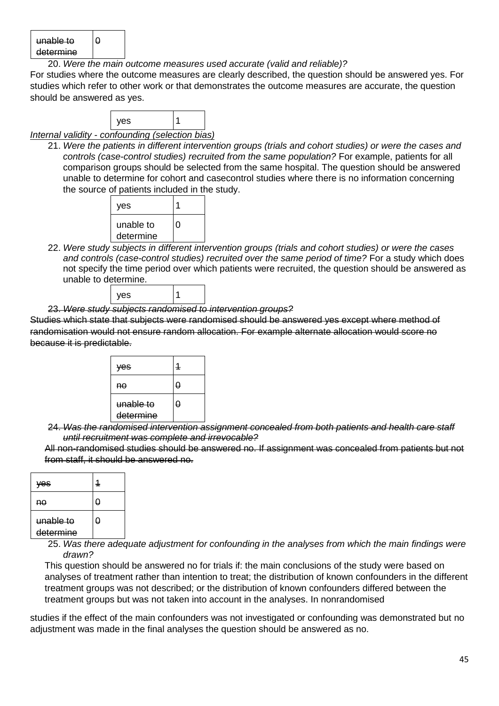| unable to |  |
|-----------|--|
| determine |  |

20. *Were the main outcome measures used accurate (valid and reliable)?*

For studies where the outcome measures are clearly described, the question should be answered yes. For studies which refer to other work or that demonstrates the outcome measures are accurate, the question should be answered as yes.



*Internal validity - confounding (selection bias)*

21. *Were the patients in different intervention groups (trials and cohort studies) or were the cases and controls (case-control studies) recruited from the same population?* For example, patients for all comparison groups should be selected from the same hospital. The question should be answered unable to determine for cohort and casecontrol studies where there is no information concerning the source of patients included in the study.



22. *Were study subjects in different intervention groups (trials and cohort studies) or were the cases and controls (case-control studies) recruited over the same period of time?* For a study which does not specify the time period over which patients were recruited, the question should be answered as unable to determine.



23. *Were study subjects randomised to intervention groups?*

Studies which state that subjects were randomised should be answered yes except where method of randomisation would not ensure random allocation. For example alternate allocation would score no because it is predictable.



24. *Was the randomised intervention assignment concealed from both patients and health care staff until recruitment was complete and irrevocable?*

All non-randomised studies should be answered no. If assignment was concealed from patients but not from staff, it should be answered no.

| ves                    |   |
|------------------------|---|
| nθ                     | θ |
| unable to<br>determine | θ |

25. *Was there adequate adjustment for confounding in the analyses from which the main findings were drawn?*

This question should be answered no for trials if: the main conclusions of the study were based on analyses of treatment rather than intention to treat; the distribution of known confounders in the different treatment groups was not described; or the distribution of known confounders differed between the treatment groups but was not taken into account in the analyses. In nonrandomised

studies if the effect of the main confounders was not investigated or confounding was demonstrated but no adjustment was made in the final analyses the question should be answered as no.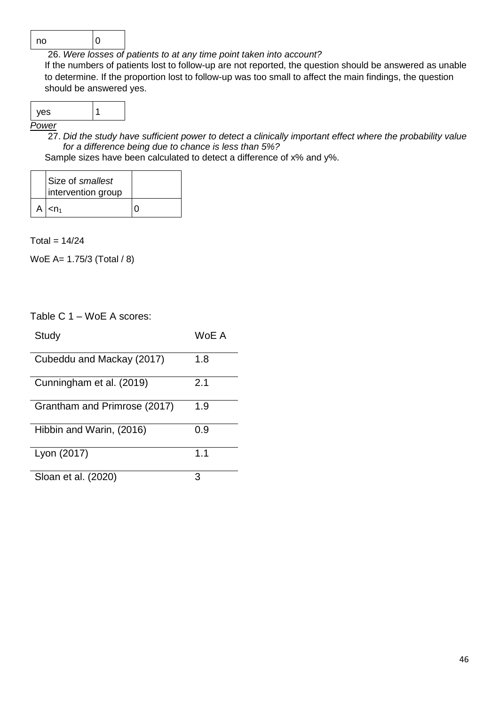

26. *Were losses of patients to at any time point taken into account?* If the numbers of patients lost to follow-up are not reported, the question should be answered as unable to determine. If the proportion lost to follow-up was too small to affect the main findings, the question should be answered yes.

|--|

*Power*

27. *Did the study have sufficient power to detect a clinically important effect where the probability value for a difference being due to chance is less than 5%?*

Sample sizes have been calculated to detect a difference of x% and y%.

| Size of smallest<br>intervention group |  |
|----------------------------------------|--|
| A $\leq n_1$                           |  |

 $Total = 14/24$ 

WoE A= 1.75/3 (Total / 8)

| Table C 1 - WoE A scores:    |       |
|------------------------------|-------|
| Study                        | WoE A |
| Cubeddu and Mackay (2017)    | 1.8   |
| Cunningham et al. (2019)     | 2.1   |
| Grantham and Primrose (2017) | 1.9   |
| Hibbin and Warin, (2016)     | 0.9   |
| Lyon (2017)                  | 1.1   |
| Sloan et al. (2020)          |       |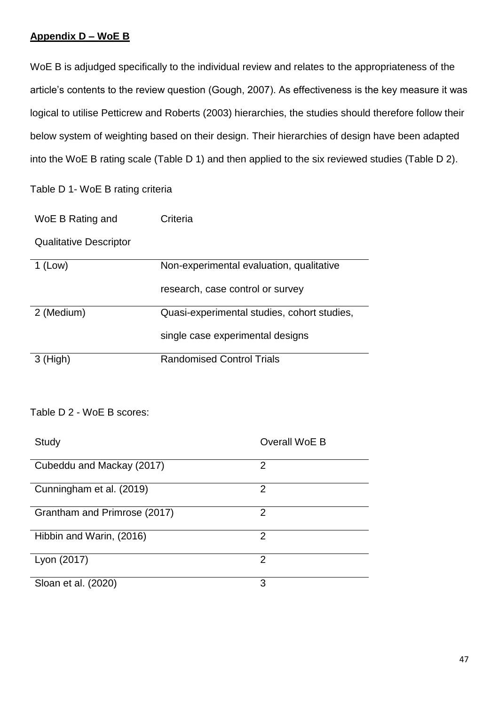# **Appendix D – WoE B**

WoE B is adjudged specifically to the individual review and relates to the appropriateness of the article's contents to the review question (Gough, 2007). As effectiveness is the key measure it was logical to utilise Petticrew and Roberts (2003) hierarchies, the studies should therefore follow their below system of weighting based on their design. Their hierarchies of design have been adapted into the WoE B rating scale (Table D 1) and then applied to the six reviewed studies (Table D 2).

Table D 1- WoE B rating criteria

| WoE B Rating and | Criteria |
|------------------|----------|
|------------------|----------|

Qualitative Descriptor

| $1$ (Low)  | Non-experimental evaluation, qualitative    |
|------------|---------------------------------------------|
|            | research, case control or survey            |
| 2 (Medium) | Quasi-experimental studies, cohort studies, |
|            | single case experimental designs            |
| $3$ (High) | <b>Randomised Control Trials</b>            |

# Table D 2 - WoE B scores:

| Study                        | Overall WoE B |
|------------------------------|---------------|
| Cubeddu and Mackay (2017)    | 2             |
| Cunningham et al. (2019)     | 2             |
| Grantham and Primrose (2017) | 2             |
| Hibbin and Warin, (2016)     | 2             |
| Lyon (2017)                  | 2             |
| Sloan et al. (2020)          | 3             |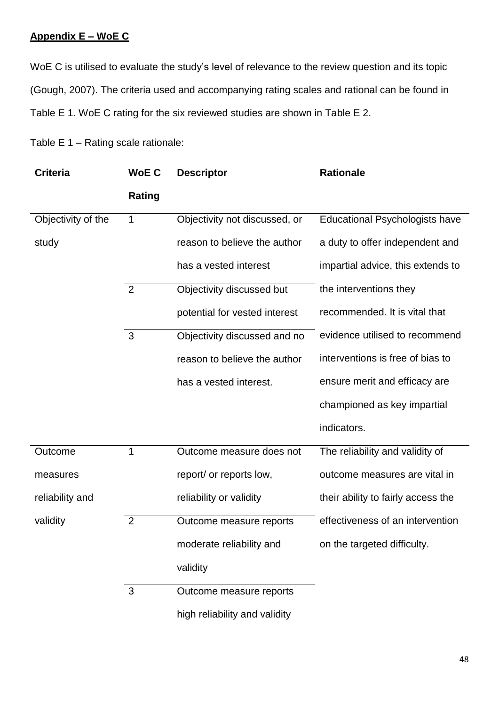# **Appendix E – WoE C**

WoE C is utilised to evaluate the study's level of relevance to the review question and its topic (Gough, 2007). The criteria used and accompanying rating scales and rational can be found in Table E 1. WoE C rating for the six reviewed studies are shown in Table E 2.

Table E 1 – Rating scale rationale:

| <b>Criteria</b>    | <b>WoEC</b>    | <b>Descriptor</b>             | <b>Rationale</b>                      |
|--------------------|----------------|-------------------------------|---------------------------------------|
|                    | <b>Rating</b>  |                               |                                       |
| Objectivity of the | $\mathbf 1$    | Objectivity not discussed, or | <b>Educational Psychologists have</b> |
| study              |                | reason to believe the author  | a duty to offer independent and       |
|                    |                | has a vested interest         | impartial advice, this extends to     |
|                    | $\overline{2}$ | Objectivity discussed but     | the interventions they                |
|                    |                | potential for vested interest | recommended. It is vital that         |
|                    | 3              | Objectivity discussed and no  | evidence utilised to recommend        |
|                    |                | reason to believe the author  | interventions is free of bias to      |
|                    |                | has a vested interest.        | ensure merit and efficacy are         |
|                    |                |                               | championed as key impartial           |
|                    |                |                               | indicators.                           |
| Outcome            | 1              | Outcome measure does not      | The reliability and validity of       |
| measures           |                | report/ or reports low,       | outcome measures are vital in         |
| reliability and    |                | reliability or validity       | their ability to fairly access the    |
| validity           | $\overline{2}$ | Outcome measure reports       | effectiveness of an intervention      |
|                    |                | moderate reliability and      | on the targeted difficulty.           |
|                    |                | validity                      |                                       |
|                    | 3              | Outcome measure reports       |                                       |
|                    |                | high reliability and validity |                                       |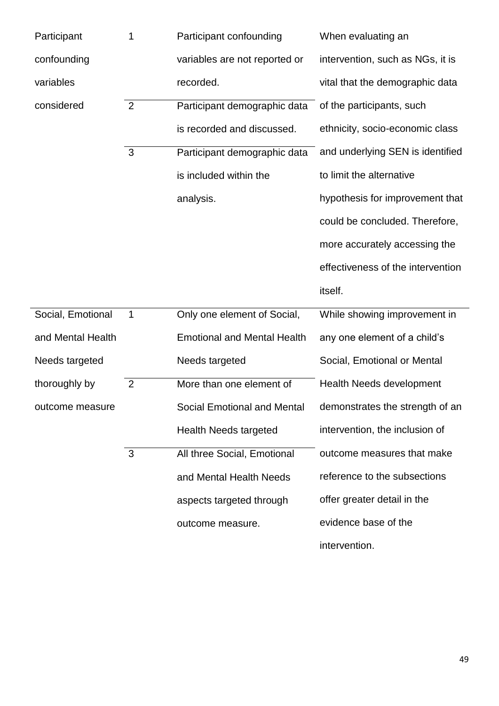| Participant       | 1              | Participant confounding            | When evaluating an                |
|-------------------|----------------|------------------------------------|-----------------------------------|
| confounding       |                | variables are not reported or      | intervention, such as NGs, it is  |
| variables         |                | recorded.                          | vital that the demographic data   |
| considered        | $\overline{2}$ | Participant demographic data       | of the participants, such         |
|                   |                | is recorded and discussed.         | ethnicity, socio-economic class   |
|                   | $\mathbf{3}$   | Participant demographic data       | and underlying SEN is identified  |
|                   |                | is included within the             | to limit the alternative          |
|                   |                | analysis.                          | hypothesis for improvement that   |
|                   |                |                                    | could be concluded. Therefore,    |
|                   |                |                                    | more accurately accessing the     |
|                   |                |                                    | effectiveness of the intervention |
|                   |                |                                    |                                   |
|                   |                |                                    | itself.                           |
| Social, Emotional | $\mathbf 1$    | Only one element of Social,        | While showing improvement in      |
| and Mental Health |                | <b>Emotional and Mental Health</b> | any one element of a child's      |
| Needs targeted    |                | Needs targeted                     | Social, Emotional or Mental       |
| thoroughly by     | $\overline{2}$ | More than one element of           | <b>Health Needs development</b>   |
| outcome measure   |                | <b>Social Emotional and Mental</b> | demonstrates the strength of an   |
|                   |                | <b>Health Needs targeted</b>       | intervention, the inclusion of    |
|                   | 3              | All three Social, Emotional        | outcome measures that make        |
|                   |                | and Mental Health Needs            | reference to the subsections      |
|                   |                | aspects targeted through           | offer greater detail in the       |
|                   |                | outcome measure.                   | evidence base of the              |